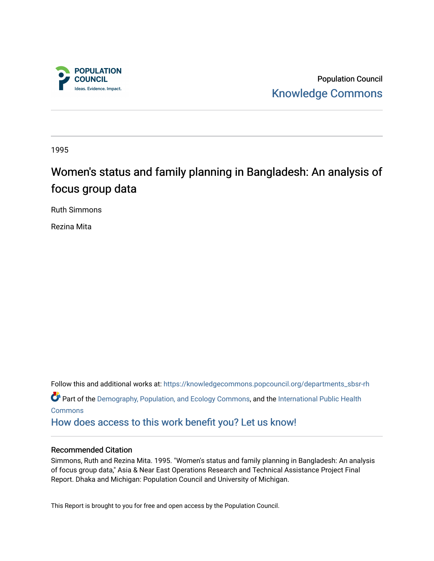

Population Council [Knowledge Commons](https://knowledgecommons.popcouncil.org/) 

1995

# Women's status and family planning in Bangladesh: An analysis of focus group data

Ruth Simmons

Rezina Mita

Follow this and additional works at: [https://knowledgecommons.popcouncil.org/departments\\_sbsr-rh](https://knowledgecommons.popcouncil.org/departments_sbsr-rh?utm_source=knowledgecommons.popcouncil.org%2Fdepartments_sbsr-rh%2F2065&utm_medium=PDF&utm_campaign=PDFCoverPages)  Part of the [Demography, Population, and Ecology Commons,](https://network.bepress.com/hgg/discipline/418?utm_source=knowledgecommons.popcouncil.org%2Fdepartments_sbsr-rh%2F2065&utm_medium=PDF&utm_campaign=PDFCoverPages) and the International Public Health [Commons](https://network.bepress.com/hgg/discipline/746?utm_source=knowledgecommons.popcouncil.org%2Fdepartments_sbsr-rh%2F2065&utm_medium=PDF&utm_campaign=PDFCoverPages) [How does access to this work benefit you? Let us know!](https://pcouncil.wufoo.com/forms/open-access-to-population-council-research/)

#### Recommended Citation

Simmons, Ruth and Rezina Mita. 1995. "Women's status and family planning in Bangladesh: An analysis of focus group data," Asia & Near East Operations Research and Technical Assistance Project Final Report. Dhaka and Michigan: Population Council and University of Michigan.

This Report is brought to you for free and open access by the Population Council.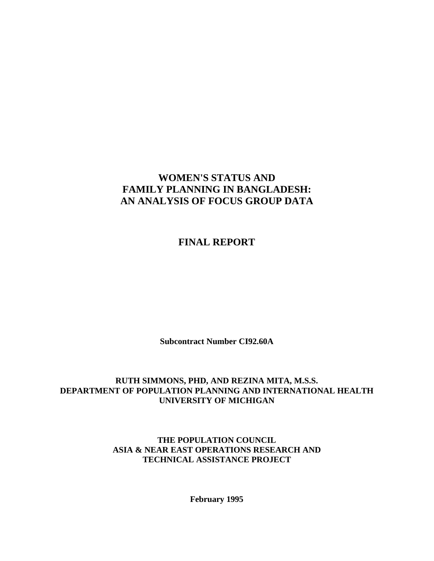# **WOMEN'S STATUS AND FAMILY PLANNING IN BANGLADESH: AN ANALYSIS OF FOCUS GROUP DATA**

**FINAL REPORT**

**Subcontract Number CI92.60A**

# **RUTH SIMMONS, PHD, AND REZINA MITA, M.S.S. DEPARTMENT OF POPULATION PLANNING AND INTERNATIONAL HEALTH UNIVERSITY OF MICHIGAN**

**THE POPULATION COUNCIL ASIA & NEAR EAST OPERATIONS RESEARCH AND TECHNICAL ASSISTANCE PROJECT**

**February 1995**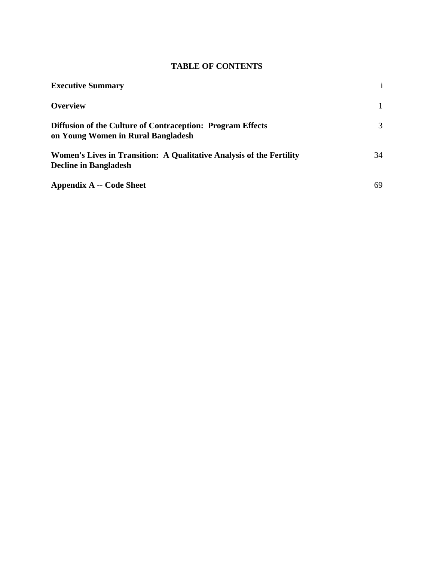# **TABLE OF CONTENTS**

| <b>Executive Summary</b>                                                                                |              |
|---------------------------------------------------------------------------------------------------------|--------------|
| <b>Overview</b>                                                                                         | $\mathbf{1}$ |
| <b>Diffusion of the Culture of Contraception: Program Effects</b><br>on Young Women in Rural Bangladesh | 3            |
| Women's Lives in Transition: A Qualitative Analysis of the Fertility<br><b>Decline in Bangladesh</b>    | 34           |
| Appendix A -- Code Sheet                                                                                | 69           |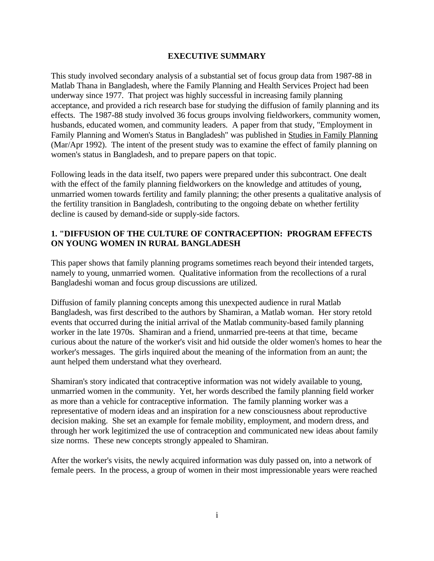#### **EXECUTIVE SUMMARY**

This study involved secondary analysis of a substantial set of focus group data from 1987-88 in Matlab Thana in Bangladesh, where the Family Planning and Health Services Project had been underway since 1977. That project was highly successful in increasing family planning acceptance, and provided a rich research base for studying the diffusion of family planning and its effects. The 1987-88 study involved 36 focus groups involving fieldworkers, community women, husbands, educated women, and community leaders. A paper from that study, "Employment in Family Planning and Women's Status in Bangladesh" was published in Studies in Family Planning (Mar/Apr 1992). The intent of the present study was to examine the effect of family planning on women's status in Bangladesh, and to prepare papers on that topic.

Following leads in the data itself, two papers were prepared under this subcontract. One dealt with the effect of the family planning fieldworkers on the knowledge and attitudes of young, unmarried women towards fertility and family planning; the other presents a qualitative analysis of the fertility transition in Bangladesh, contributing to the ongoing debate on whether fertility decline is caused by demand-side or supply-side factors.

## **1. "DIFFUSION OF THE CULTURE OF CONTRACEPTION: PROGRAM EFFECTS ON YOUNG WOMEN IN RURAL BANGLADESH**

This paper shows that family planning programs sometimes reach beyond their intended targets, namely to young, unmarried women. Qualitative information from the recollections of a rural Bangladeshi woman and focus group discussions are utilized.

Diffusion of family planning concepts among this unexpected audience in rural Matlab Bangladesh, was first described to the authors by Shamiran, a Matlab woman. Her story retold events that occurred during the initial arrival of the Matlab community-based family planning worker in the late 1970s. Shamiran and a friend, unmarried pre-teens at that time, became curious about the nature of the worker's visit and hid outside the older women's homes to hear the worker's messages. The girls inquired about the meaning of the information from an aunt; the aunt helped them understand what they overheard.

Shamiran's story indicated that contraceptive information was not widely available to young, unmarried women in the community. Yet, her words described the family planning field worker as more than a vehicle for contraceptive information. The family planning worker was a representative of modern ideas and an inspiration for a new consciousness about reproductive decision making. She set an example for female mobility, employment, and modern dress, and through her work legitimized the use of contraception and communicated new ideas about family size norms. These new concepts strongly appealed to Shamiran.

After the worker's visits, the newly acquired information was duly passed on, into a network of female peers. In the process, a group of women in their most impressionable years were reached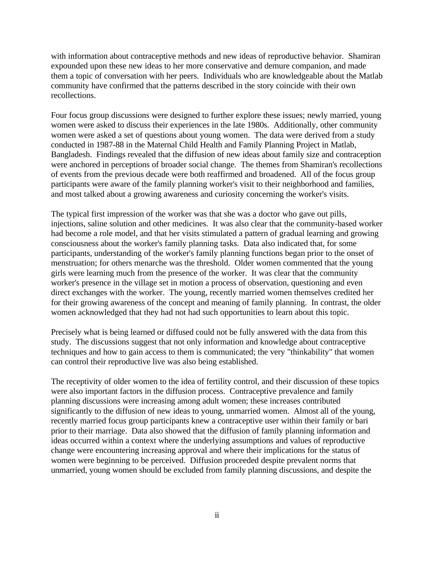with information about contraceptive methods and new ideas of reproductive behavior. Shamiran expounded upon these new ideas to her more conservative and demure companion, and made them a topic of conversation with her peers. Individuals who are knowledgeable about the Matlab community have confirmed that the patterns described in the story coincide with their own recollections.

Four focus group discussions were designed to further explore these issues; newly married, young women were asked to discuss their experiences in the late 1980s. Additionally, other community women were asked a set of questions about young women. The data were derived from a study conducted in 1987-88 in the Maternal Child Health and Family Planning Project in Matlab, Bangladesh. Findings revealed that the diffusion of new ideas about family size and contraception were anchored in perceptions of broader social change. The themes from Shamiran's recollections of events from the previous decade were both reaffirmed and broadened. All of the focus group participants were aware of the family planning worker's visit to their neighborhood and families, and most talked about a growing awareness and curiosity concerning the worker's visits.

The typical first impression of the worker was that she was a doctor who gave out pills, injections, saline solution and other medicines. It was also clear that the community-based worker had become a role model, and that her visits stimulated a pattern of gradual learning and growing consciousness about the worker's family planning tasks. Data also indicated that, for some participants, understanding of the worker's family planning functions began prior to the onset of menstruation; for others menarche was the threshold. Older women commented that the young girls were learning much from the presence of the worker. It was clear that the community worker's presence in the village set in motion a process of observation, questioning and even direct exchanges with the worker. The young, recently married women themselves credited her for their growing awareness of the concept and meaning of family planning. In contrast, the older women acknowledged that they had not had such opportunities to learn about this topic.

Precisely what is being learned or diffused could not be fully answered with the data from this study. The discussions suggest that not only information and knowledge about contraceptive techniques and how to gain access to them is communicated; the very "thinkability" that women can control their reproductive live was also being established.

The receptivity of older women to the idea of fertility control, and their discussion of these topics were also important factors in the diffusion process. Contraceptive prevalence and family planning discussions were increasing among adult women; these increases contributed significantly to the diffusion of new ideas to young, unmarried women. Almost all of the young, recently married focus group participants knew a contraceptive user within their family or bari prior to their marriage. Data also showed that the diffusion of family planning information and ideas occurred within a context where the underlying assumptions and values of reproductive change were encountering increasing approval and where their implications for the status of women were beginning to be perceived. Diffusion proceeded despite prevalent norms that unmarried, young women should be excluded from family planning discussions, and despite the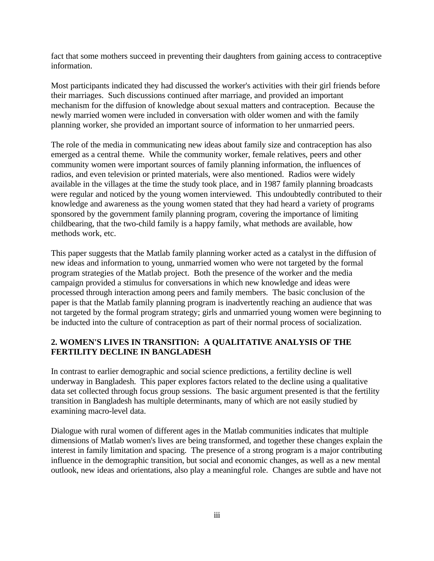fact that some mothers succeed in preventing their daughters from gaining access to contraceptive information.

Most participants indicated they had discussed the worker's activities with their girl friends before their marriages. Such discussions continued after marriage, and provided an important mechanism for the diffusion of knowledge about sexual matters and contraception. Because the newly married women were included in conversation with older women and with the family planning worker, she provided an important source of information to her unmarried peers.

The role of the media in communicating new ideas about family size and contraception has also emerged as a central theme. While the community worker, female relatives, peers and other community women were important sources of family planning information, the influences of radios, and even television or printed materials, were also mentioned. Radios were widely available in the villages at the time the study took place, and in 1987 family planning broadcasts were regular and noticed by the young women interviewed. This undoubtedly contributed to their knowledge and awareness as the young women stated that they had heard a variety of programs sponsored by the government family planning program, covering the importance of limiting childbearing, that the two-child family is a happy family, what methods are available, how methods work, etc.

This paper suggests that the Matlab family planning worker acted as a catalyst in the diffusion of new ideas and information to young, unmarried women who were not targeted by the formal program strategies of the Matlab project. Both the presence of the worker and the media campaign provided a stimulus for conversations in which new knowledge and ideas were processed through interaction among peers and family members. The basic conclusion of the paper is that the Matlab family planning program is inadvertently reaching an audience that was not targeted by the formal program strategy; girls and unmarried young women were beginning to be inducted into the culture of contraception as part of their normal process of socialization.

#### **2. WOMEN'S LIVES IN TRANSITION: A QUALITATIVE ANALYSIS OF THE FERTILITY DECLINE IN BANGLADESH**

In contrast to earlier demographic and social science predictions, a fertility decline is well underway in Bangladesh. This paper explores factors related to the decline using a qualitative data set collected through focus group sessions. The basic argument presented is that the fertility transition in Bangladesh has multiple determinants, many of which are not easily studied by examining macro-level data.

Dialogue with rural women of different ages in the Matlab communities indicates that multiple dimensions of Matlab women's lives are being transformed, and together these changes explain the interest in family limitation and spacing. The presence of a strong program is a major contributing influence in the demographic transition, but social and economic changes, as well as a new mental outlook, new ideas and orientations, also play a meaningful role. Changes are subtle and have not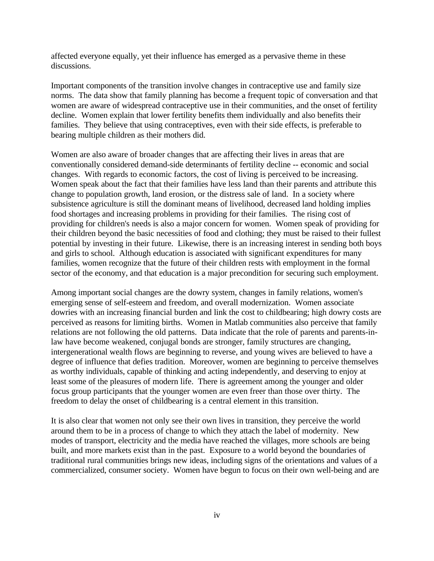affected everyone equally, yet their influence has emerged as a pervasive theme in these discussions.

Important components of the transition involve changes in contraceptive use and family size norms. The data show that family planning has become a frequent topic of conversation and that women are aware of widespread contraceptive use in their communities, and the onset of fertility decline. Women explain that lower fertility benefits them individually and also benefits their families. They believe that using contraceptives, even with their side effects, is preferable to bearing multiple children as their mothers did.

Women are also aware of broader changes that are affecting their lives in areas that are conventionally considered demand-side determinants of fertility decline -- economic and social changes. With regards to economic factors, the cost of living is perceived to be increasing. Women speak about the fact that their families have less land than their parents and attribute this change to population growth, land erosion, or the distress sale of land. In a society where subsistence agriculture is still the dominant means of livelihood, decreased land holding implies food shortages and increasing problems in providing for their families. The rising cost of providing for children's needs is also a major concern for women. Women speak of providing for their children beyond the basic necessities of food and clothing; they must be raised to their fullest potential by investing in their future. Likewise, there is an increasing interest in sending both boys and girls to school. Although education is associated with significant expenditures for many families, women recognize that the future of their children rests with employment in the formal sector of the economy, and that education is a major precondition for securing such employment.

Among important social changes are the dowry system, changes in family relations, women's emerging sense of self-esteem and freedom, and overall modernization. Women associate dowries with an increasing financial burden and link the cost to childbearing; high dowry costs are perceived as reasons for limiting births. Women in Matlab communities also perceive that family relations are not following the old patterns. Data indicate that the role of parents and parents-inlaw have become weakened, conjugal bonds are stronger, family structures are changing, intergenerational wealth flows are beginning to reverse, and young wives are believed to have a degree of influence that defies tradition. Moreover, women are beginning to perceive themselves as worthy individuals, capable of thinking and acting independently, and deserving to enjoy at least some of the pleasures of modern life. There is agreement among the younger and older focus group participants that the younger women are even freer than those over thirty. The freedom to delay the onset of childbearing is a central element in this transition.

It is also clear that women not only see their own lives in transition, they perceive the world around them to be in a process of change to which they attach the label of modernity. New modes of transport, electricity and the media have reached the villages, more schools are being built, and more markets exist than in the past. Exposure to a world beyond the boundaries of traditional rural communities brings new ideas, including signs of the orientations and values of a commercialized, consumer society. Women have begun to focus on their own well-being and are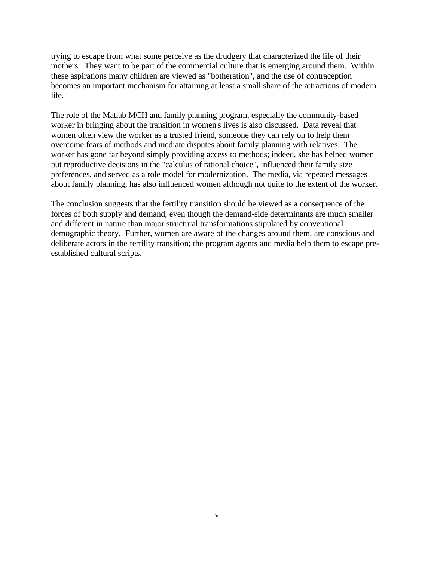trying to escape from what some perceive as the drudgery that characterized the life of their mothers. They want to be part of the commercial culture that is emerging around them. Within these aspirations many children are viewed as "botheration", and the use of contraception becomes an important mechanism for attaining at least a small share of the attractions of modern life.

The role of the Matlab MCH and family planning program, especially the community-based worker in bringing about the transition in women's lives is also discussed. Data reveal that women often view the worker as a trusted friend, someone they can rely on to help them overcome fears of methods and mediate disputes about family planning with relatives. The worker has gone far beyond simply providing access to methods; indeed, she has helped women put reproductive decisions in the "calculus of rational choice", influenced their family size preferences, and served as a role model for modernization. The media, via repeated messages about family planning, has also influenced women although not quite to the extent of the worker.

The conclusion suggests that the fertility transition should be viewed as a consequence of the forces of both supply and demand, even though the demand-side determinants are much smaller and different in nature than major structural transformations stipulated by conventional demographic theory. Further, women are aware of the changes around them, are conscious and deliberate actors in the fertility transition; the program agents and media help them to escape preestablished cultural scripts.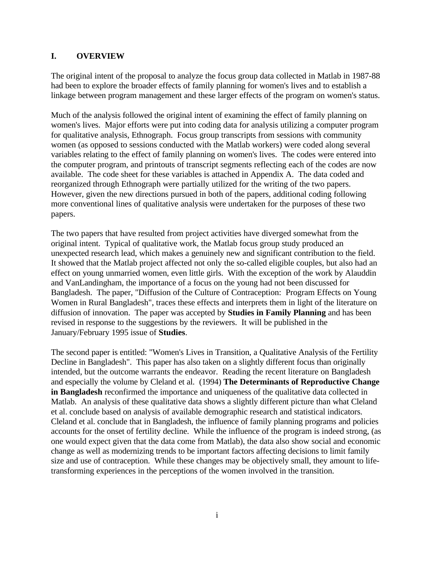### **I. OVERVIEW**

The original intent of the proposal to analyze the focus group data collected in Matlab in 1987-88 had been to explore the broader effects of family planning for women's lives and to establish a linkage between program management and these larger effects of the program on women's status.

Much of the analysis followed the original intent of examining the effect of family planning on women's lives. Major efforts were put into coding data for analysis utilizing a computer program for qualitative analysis, Ethnograph. Focus group transcripts from sessions with community women (as opposed to sessions conducted with the Matlab workers) were coded along several variables relating to the effect of family planning on women's lives. The codes were entered into the computer program, and printouts of transcript segments reflecting each of the codes are now available. The code sheet for these variables is attached in Appendix A. The data coded and reorganized through Ethnograph were partially utilized for the writing of the two papers. However, given the new directions pursued in both of the papers, additional coding following more conventional lines of qualitative analysis were undertaken for the purposes of these two papers.

The two papers that have resulted from project activities have diverged somewhat from the original intent. Typical of qualitative work, the Matlab focus group study produced an unexpected research lead, which makes a genuinely new and significant contribution to the field. It showed that the Matlab project affected not only the so-called eligible couples, but also had an effect on young unmarried women, even little girls. With the exception of the work by Alauddin and VanLandingham, the importance of a focus on the young had not been discussed for Bangladesh. The paper, "Diffusion of the Culture of Contraception: Program Effects on Young Women in Rural Bangladesh", traces these effects and interprets them in light of the literature on diffusion of innovation. The paper was accepted by **Studies in Family Planning** and has been revised in response to the suggestions by the reviewers. It will be published in the January/February 1995 issue of **Studies**.

The second paper is entitled: "Women's Lives in Transition, a Qualitative Analysis of the Fertility Decline in Bangladesh". This paper has also taken on a slightly different focus than originally intended, but the outcome warrants the endeavor. Reading the recent literature on Bangladesh and especially the volume by Cleland et al. (1994) **The Determinants of Reproductive Change in Bangladesh** reconfirmed the importance and uniqueness of the qualitative data collected in Matlab. An analysis of these qualitative data shows a slightly different picture than what Cleland et al. conclude based on analysis of available demographic research and statistical indicators. Cleland et al. conclude that in Bangladesh, the influence of family planning programs and policies accounts for the onset of fertility decline. While the influence of the program is indeed strong, (as one would expect given that the data come from Matlab), the data also show social and economic change as well as modernizing trends to be important factors affecting decisions to limit family size and use of contraception. While these changes may be objectively small, they amount to lifetransforming experiences in the perceptions of the women involved in the transition.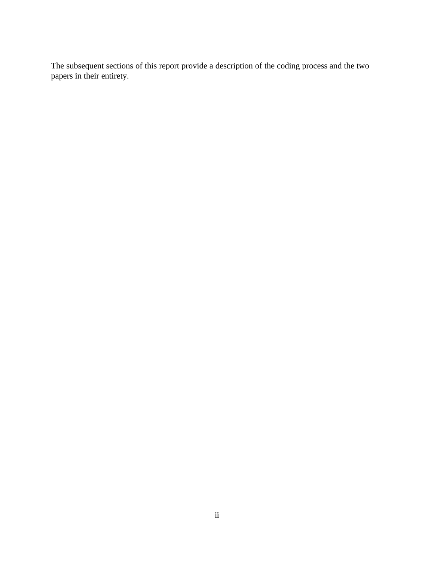The subsequent sections of this report provide a description of the coding process and the two papers in their entirety.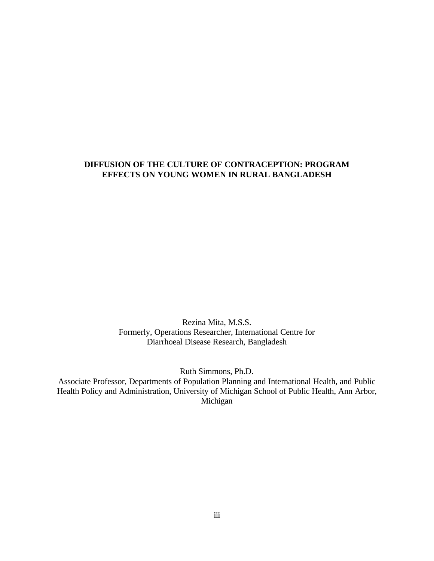# **DIFFUSION OF THE CULTURE OF CONTRACEPTION: PROGRAM EFFECTS ON YOUNG WOMEN IN RURAL BANGLADESH**

Rezina Mita, M.S.S. Formerly, Operations Researcher, International Centre for Diarrhoeal Disease Research, Bangladesh

Ruth Simmons, Ph.D. Associate Professor, Departments of Population Planning and International Health, and Public Health Policy and Administration, University of Michigan School of Public Health, Ann Arbor, Michigan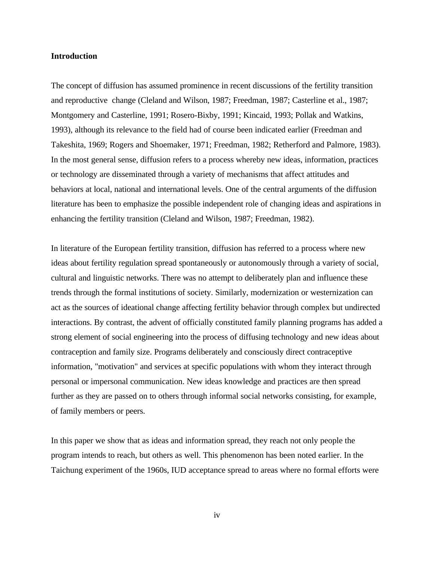#### **Introduction**

The concept of diffusion has assumed prominence in recent discussions of the fertility transition and reproductive change (Cleland and Wilson, 1987; Freedman, 1987; Casterline et al., 1987; Montgomery and Casterline, 1991; Rosero-Bixby, 1991; Kincaid, 1993; Pollak and Watkins, 1993), although its relevance to the field had of course been indicated earlier (Freedman and Takeshita, 1969; Rogers and Shoemaker, 1971; Freedman, 1982; Retherford and Palmore, 1983). In the most general sense, diffusion refers to a process whereby new ideas, information, practices or technology are disseminated through a variety of mechanisms that affect attitudes and behaviors at local, national and international levels. One of the central arguments of the diffusion literature has been to emphasize the possible independent role of changing ideas and aspirations in enhancing the fertility transition (Cleland and Wilson, 1987; Freedman, 1982).

In literature of the European fertility transition, diffusion has referred to a process where new ideas about fertility regulation spread spontaneously or autonomously through a variety of social, cultural and linguistic networks. There was no attempt to deliberately plan and influence these trends through the formal institutions of society. Similarly, modernization or westernization can act as the sources of ideational change affecting fertility behavior through complex but undirected interactions. By contrast, the advent of officially constituted family planning programs has added a strong element of social engineering into the process of diffusing technology and new ideas about contraception and family size. Programs deliberately and consciously direct contraceptive information, "motivation" and services at specific populations with whom they interact through personal or impersonal communication. New ideas knowledge and practices are then spread further as they are passed on to others through informal social networks consisting, for example, of family members or peers.

In this paper we show that as ideas and information spread, they reach not only people the program intends to reach, but others as well. This phenomenon has been noted earlier. In the Taichung experiment of the 1960s, IUD acceptance spread to areas where no formal efforts were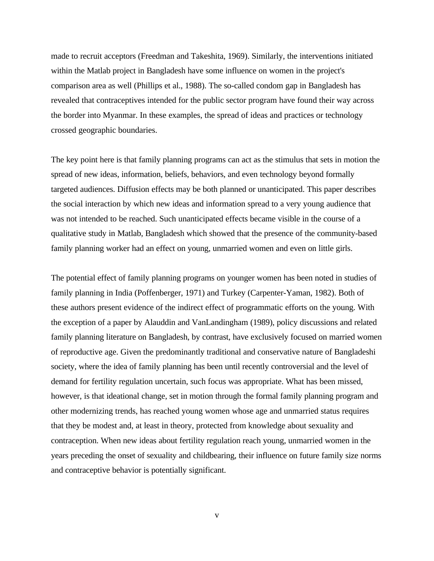made to recruit acceptors (Freedman and Takeshita, 1969). Similarly, the interventions initiated within the Matlab project in Bangladesh have some influence on women in the project's comparison area as well (Phillips et al., 1988). The so-called condom gap in Bangladesh has revealed that contraceptives intended for the public sector program have found their way across the border into Myanmar. In these examples, the spread of ideas and practices or technology crossed geographic boundaries.

The key point here is that family planning programs can act as the stimulus that sets in motion the spread of new ideas, information, beliefs, behaviors, and even technology beyond formally targeted audiences. Diffusion effects may be both planned or unanticipated. This paper describes the social interaction by which new ideas and information spread to a very young audience that was not intended to be reached. Such unanticipated effects became visible in the course of a qualitative study in Matlab, Bangladesh which showed that the presence of the community-based family planning worker had an effect on young, unmarried women and even on little girls.

The potential effect of family planning programs on younger women has been noted in studies of family planning in India (Poffenberger, 1971) and Turkey (Carpenter-Yaman, 1982). Both of these authors present evidence of the indirect effect of programmatic efforts on the young. With the exception of a paper by Alauddin and VanLandingham (1989), policy discussions and related family planning literature on Bangladesh, by contrast, have exclusively focused on married women of reproductive age. Given the predominantly traditional and conservative nature of Bangladeshi society, where the idea of family planning has been until recently controversial and the level of demand for fertility regulation uncertain, such focus was appropriate. What has been missed, however, is that ideational change, set in motion through the formal family planning program and other modernizing trends, has reached young women whose age and unmarried status requires that they be modest and, at least in theory, protected from knowledge about sexuality and contraception. When new ideas about fertility regulation reach young, unmarried women in the years preceding the onset of sexuality and childbearing, their influence on future family size norms and contraceptive behavior is potentially significant.

v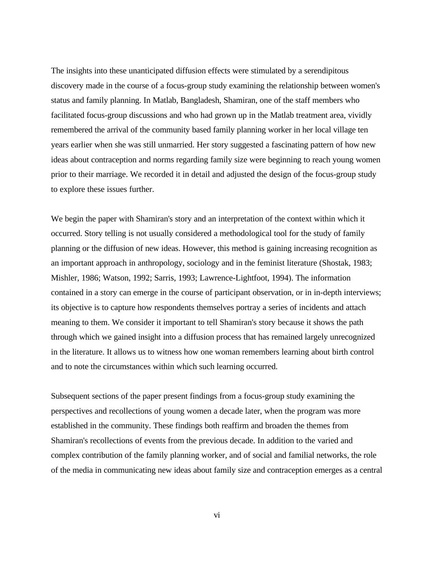The insights into these unanticipated diffusion effects were stimulated by a serendipitous discovery made in the course of a focus-group study examining the relationship between women's status and family planning. In Matlab, Bangladesh, Shamiran, one of the staff members who facilitated focus-group discussions and who had grown up in the Matlab treatment area, vividly remembered the arrival of the community based family planning worker in her local village ten years earlier when she was still unmarried. Her story suggested a fascinating pattern of how new ideas about contraception and norms regarding family size were beginning to reach young women prior to their marriage. We recorded it in detail and adjusted the design of the focus-group study to explore these issues further.

We begin the paper with Shamiran's story and an interpretation of the context within which it occurred. Story telling is not usually considered a methodological tool for the study of family planning or the diffusion of new ideas. However, this method is gaining increasing recognition as an important approach in anthropology, sociology and in the feminist literature (Shostak, 1983; Mishler, 1986; Watson, 1992; Sarris, 1993; Lawrence-Lightfoot, 1994). The information contained in a story can emerge in the course of participant observation, or in in-depth interviews; its objective is to capture how respondents themselves portray a series of incidents and attach meaning to them. We consider it important to tell Shamiran's story because it shows the path through which we gained insight into a diffusion process that has remained largely unrecognized in the literature. It allows us to witness how one woman remembers learning about birth control and to note the circumstances within which such learning occurred.

Subsequent sections of the paper present findings from a focus-group study examining the perspectives and recollections of young women a decade later, when the program was more established in the community. These findings both reaffirm and broaden the themes from Shamiran's recollections of events from the previous decade. In addition to the varied and complex contribution of the family planning worker, and of social and familial networks, the role of the media in communicating new ideas about family size and contraception emerges as a central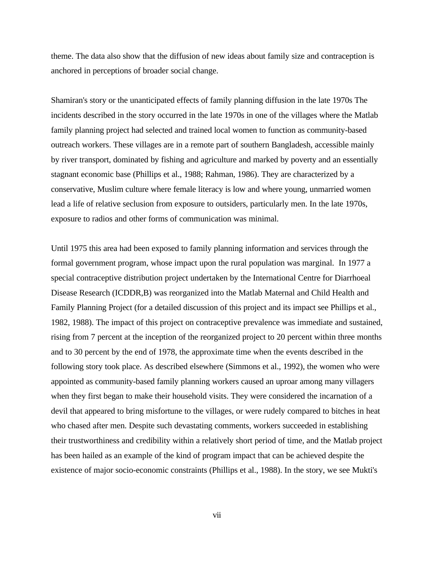theme. The data also show that the diffusion of new ideas about family size and contraception is anchored in perceptions of broader social change.

Shamiran's story or the unanticipated effects of family planning diffusion in the late 1970s The incidents described in the story occurred in the late 1970s in one of the villages where the Matlab family planning project had selected and trained local women to function as community-based outreach workers. These villages are in a remote part of southern Bangladesh, accessible mainly by river transport, dominated by fishing and agriculture and marked by poverty and an essentially stagnant economic base (Phillips et al., 1988; Rahman, 1986). They are characterized by a conservative, Muslim culture where female literacy is low and where young, unmarried women lead a life of relative seclusion from exposure to outsiders, particularly men. In the late 1970s, exposure to radios and other forms of communication was minimal.

Until 1975 this area had been exposed to family planning information and services through the formal government program, whose impact upon the rural population was marginal. In 1977 a special contraceptive distribution project undertaken by the International Centre for Diarrhoeal Disease Research (ICDDR,B) was reorganized into the Matlab Maternal and Child Health and Family Planning Project (for a detailed discussion of this project and its impact see Phillips et al., 1982, 1988). The impact of this project on contraceptive prevalence was immediate and sustained, rising from 7 percent at the inception of the reorganized project to 20 percent within three months and to 30 percent by the end of 1978, the approximate time when the events described in the following story took place. As described elsewhere (Simmons et al., 1992), the women who were appointed as community-based family planning workers caused an uproar among many villagers when they first began to make their household visits. They were considered the incarnation of a devil that appeared to bring misfortune to the villages, or were rudely compared to bitches in heat who chased after men. Despite such devastating comments, workers succeeded in establishing their trustworthiness and credibility within a relatively short period of time, and the Matlab project has been hailed as an example of the kind of program impact that can be achieved despite the existence of major socio-economic constraints (Phillips et al., 1988). In the story, we see Mukti's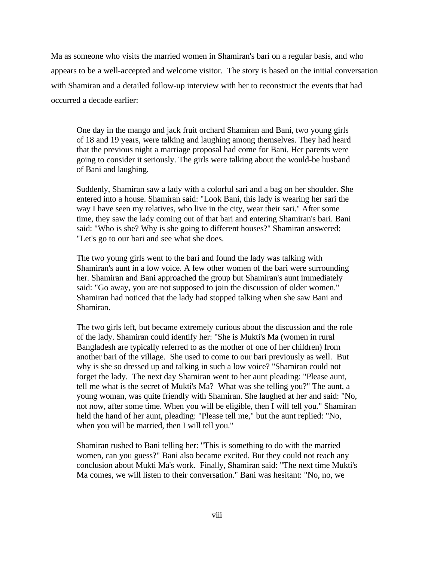Ma as someone who visits the married women in Shamiran's bari on a regular basis, and who appears to be a well-accepted and welcome visitor. The story is based on the initial conversation with Shamiran and a detailed follow-up interview with her to reconstruct the events that had occurred a decade earlier:

One day in the mango and jack fruit orchard Shamiran and Bani, two young girls of 18 and 19 years, were talking and laughing among themselves. They had heard that the previous night a marriage proposal had come for Bani. Her parents were going to consider it seriously. The girls were talking about the would-be husband of Bani and laughing.

Suddenly, Shamiran saw a lady with a colorful sari and a bag on her shoulder. She entered into a house. Shamiran said: "Look Bani, this lady is wearing her sari the way I have seen my relatives, who live in the city, wear their sari." After some time, they saw the lady coming out of that bari and entering Shamiran's bari. Bani said: "Who is she? Why is she going to different houses?" Shamiran answered: "Let's go to our bari and see what she does.

The two young girls went to the bari and found the lady was talking with Shamiran's aunt in a low voice. A few other women of the bari were surrounding her. Shamiran and Bani approached the group but Shamiran's aunt immediately said: "Go away, you are not supposed to join the discussion of older women." Shamiran had noticed that the lady had stopped talking when she saw Bani and Shamiran.

The two girls left, but became extremely curious about the discussion and the role of the lady. Shamiran could identify her: "She is Mukti's Ma (women in rural Bangladesh are typically referred to as the mother of one of her children) from another bari of the village. She used to come to our bari previously as well. But why is she so dressed up and talking in such a low voice? "Shamiran could not forget the lady. The next day Shamiran went to her aunt pleading: "Please aunt, tell me what is the secret of Mukti's Ma? What was she telling you?" The aunt, a young woman, was quite friendly with Shamiran. She laughed at her and said: "No, not now, after some time. When you will be eligible, then I will tell you." Shamiran held the hand of her aunt, pleading: "Please tell me," but the aunt replied: "No, when you will be married, then I will tell you."

Shamiran rushed to Bani telling her: "This is something to do with the married women, can you guess?" Bani also became excited. But they could not reach any conclusion about Mukti Ma's work. Finally, Shamiran said: "The next time Mukti's Ma comes, we will listen to their conversation." Bani was hesitant: "No, no, we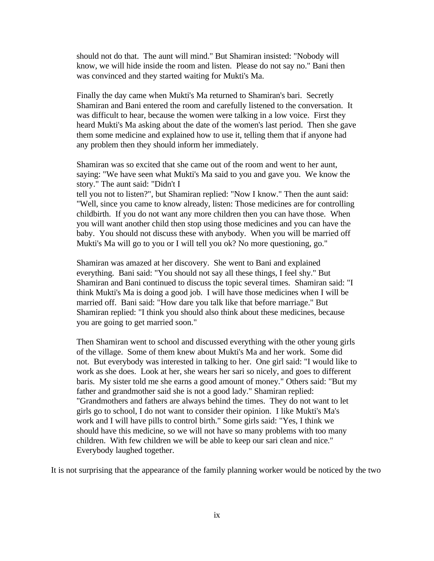should not do that. The aunt will mind." But Shamiran insisted: "Nobody will know, we will hide inside the room and listen. Please do not say no." Bani then was convinced and they started waiting for Mukti's Ma.

Finally the day came when Mukti's Ma returned to Shamiran's bari. Secretly Shamiran and Bani entered the room and carefully listened to the conversation. It was difficult to hear, because the women were talking in a low voice. First they heard Mukti's Ma asking about the date of the women's last period. Then she gave them some medicine and explained how to use it, telling them that if anyone had any problem then they should inform her immediately.

Shamiran was so excited that she came out of the room and went to her aunt, saying: "We have seen what Mukti's Ma said to you and gave you. We know the story." The aunt said: "Didn't I

tell you not to listen?", but Shamiran replied: "Now I know." Then the aunt said: "Well, since you came to know already, listen: Those medicines are for controlling childbirth. If you do not want any more children then you can have those. When you will want another child then stop using those medicines and you can have the baby. You should not discuss these with anybody. When you will be married off Mukti's Ma will go to you or I will tell you ok? No more questioning, go."

Shamiran was amazed at her discovery. She went to Bani and explained everything. Bani said: "You should not say all these things, I feel shy." But Shamiran and Bani continued to discuss the topic several times. Shamiran said: "I think Mukti's Ma is doing a good job. I will have those medicines when I will be married off. Bani said: "How dare you talk like that before marriage." But Shamiran replied: "I think you should also think about these medicines, because you are going to get married soon."

Then Shamiran went to school and discussed everything with the other young girls of the village. Some of them knew about Mukti's Ma and her work. Some did not. But everybody was interested in talking to her. One girl said: "I would like to work as she does. Look at her, she wears her sari so nicely, and goes to different baris. My sister told me she earns a good amount of money." Others said: "But my father and grandmother said she is not a good lady." Shamiran replied: "Grandmothers and fathers are always behind the times. They do not want to let girls go to school, I do not want to consider their opinion. I like Mukti's Ma's work and I will have pills to control birth." Some girls said: "Yes, I think we should have this medicine, so we will not have so many problems with too many children. With few children we will be able to keep our sari clean and nice." Everybody laughed together.

It is not surprising that the appearance of the family planning worker would be noticed by the two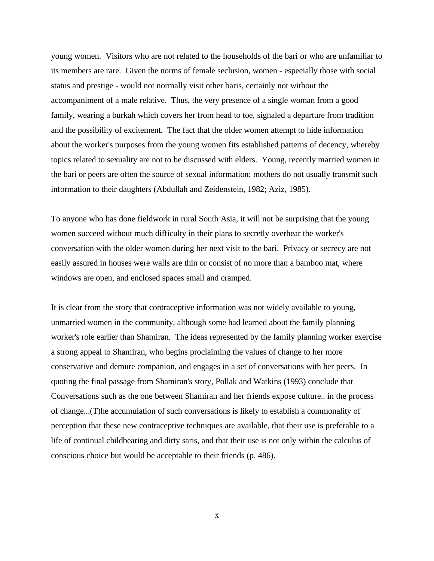young women. Visitors who are not related to the households of the bari or who are unfamiliar to its members are rare. Given the norms of female seclusion, women - especially those with social status and prestige - would not normally visit other baris, certainly not without the accompaniment of a male relative. Thus, the very presence of a single woman from a good family, wearing a burkah which covers her from head to toe, signaled a departure from tradition and the possibility of excitement. The fact that the older women attempt to hide information about the worker's purposes from the young women fits established patterns of decency, whereby topics related to sexuality are not to be discussed with elders. Young, recently married women in the bari or peers are often the source of sexual information; mothers do not usually transmit such information to their daughters (Abdullah and Zeidenstein, 1982; Aziz, 1985).

To anyone who has done fieldwork in rural South Asia, it will not be surprising that the young women succeed without much difficulty in their plans to secretly overhear the worker's conversation with the older women during her next visit to the bari. Privacy or secrecy are not easily assured in houses were walls are thin or consist of no more than a bamboo mat, where windows are open, and enclosed spaces small and cramped.

It is clear from the story that contraceptive information was not widely available to young, unmarried women in the community, although some had learned about the family planning worker's role earlier than Shamiran. The ideas represented by the family planning worker exercise a strong appeal to Shamiran, who begins proclaiming the values of change to her more conservative and demure companion, and engages in a set of conversations with her peers. In quoting the final passage from Shamiran's story, Pollak and Watkins (1993) conclude that Conversations such as the one between Shamiran and her friends expose culture.. in the process of change...(T)he accumulation of such conversations is likely to establish a commonality of perception that these new contraceptive techniques are available, that their use is preferable to a life of continual childbearing and dirty saris, and that their use is not only within the calculus of conscious choice but would be acceptable to their friends (p. 486).

x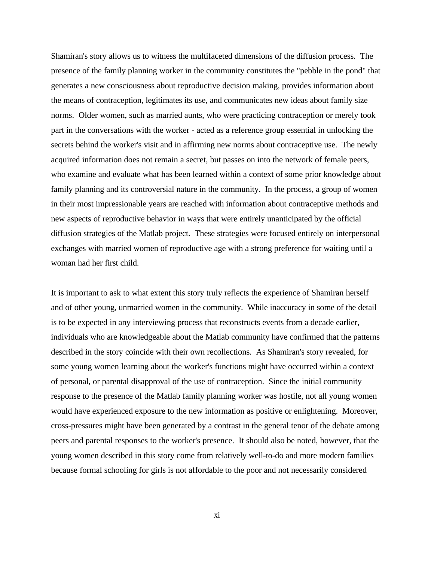Shamiran's story allows us to witness the multifaceted dimensions of the diffusion process. The presence of the family planning worker in the community constitutes the "pebble in the pond" that generates a new consciousness about reproductive decision making, provides information about the means of contraception, legitimates its use, and communicates new ideas about family size norms. Older women, such as married aunts, who were practicing contraception or merely took part in the conversations with the worker - acted as a reference group essential in unlocking the secrets behind the worker's visit and in affirming new norms about contraceptive use. The newly acquired information does not remain a secret, but passes on into the network of female peers, who examine and evaluate what has been learned within a context of some prior knowledge about family planning and its controversial nature in the community. In the process, a group of women in their most impressionable years are reached with information about contraceptive methods and new aspects of reproductive behavior in ways that were entirely unanticipated by the official diffusion strategies of the Matlab project. These strategies were focused entirely on interpersonal exchanges with married women of reproductive age with a strong preference for waiting until a woman had her first child.

It is important to ask to what extent this story truly reflects the experience of Shamiran herself and of other young, unmarried women in the community. While inaccuracy in some of the detail is to be expected in any interviewing process that reconstructs events from a decade earlier, individuals who are knowledgeable about the Matlab community have confirmed that the patterns described in the story coincide with their own recollections. As Shamiran's story revealed, for some young women learning about the worker's functions might have occurred within a context of personal, or parental disapproval of the use of contraception. Since the initial community response to the presence of the Matlab family planning worker was hostile, not all young women would have experienced exposure to the new information as positive or enlightening. Moreover, cross-pressures might have been generated by a contrast in the general tenor of the debate among peers and parental responses to the worker's presence. It should also be noted, however, that the young women described in this story come from relatively well-to-do and more modern families because formal schooling for girls is not affordable to the poor and not necessarily considered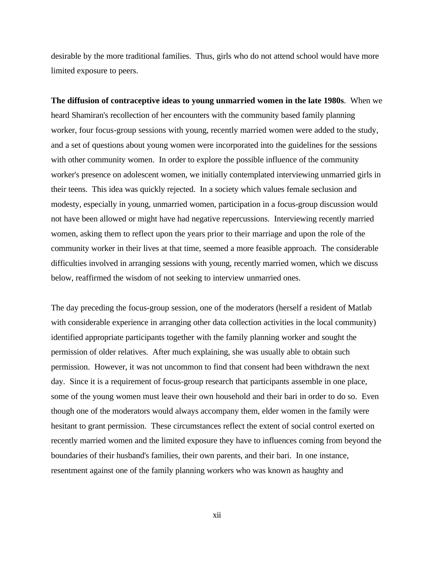desirable by the more traditional families. Thus, girls who do not attend school would have more limited exposure to peers.

**The diffusion of contraceptive ideas to young unmarried women in the late 1980s**. When we heard Shamiran's recollection of her encounters with the community based family planning worker, four focus-group sessions with young, recently married women were added to the study, and a set of questions about young women were incorporated into the guidelines for the sessions with other community women. In order to explore the possible influence of the community worker's presence on adolescent women, we initially contemplated interviewing unmarried girls in their teens. This idea was quickly rejected. In a society which values female seclusion and modesty, especially in young, unmarried women, participation in a focus-group discussion would not have been allowed or might have had negative repercussions. Interviewing recently married women, asking them to reflect upon the years prior to their marriage and upon the role of the community worker in their lives at that time, seemed a more feasible approach. The considerable difficulties involved in arranging sessions with young, recently married women, which we discuss below, reaffirmed the wisdom of not seeking to interview unmarried ones.

The day preceding the focus-group session, one of the moderators (herself a resident of Matlab with considerable experience in arranging other data collection activities in the local community) identified appropriate participants together with the family planning worker and sought the permission of older relatives. After much explaining, she was usually able to obtain such permission. However, it was not uncommon to find that consent had been withdrawn the next day. Since it is a requirement of focus-group research that participants assemble in one place, some of the young women must leave their own household and their bari in order to do so. Even though one of the moderators would always accompany them, elder women in the family were hesitant to grant permission. These circumstances reflect the extent of social control exerted on recently married women and the limited exposure they have to influences coming from beyond the boundaries of their husband's families, their own parents, and their bari. In one instance, resentment against one of the family planning workers who was known as haughty and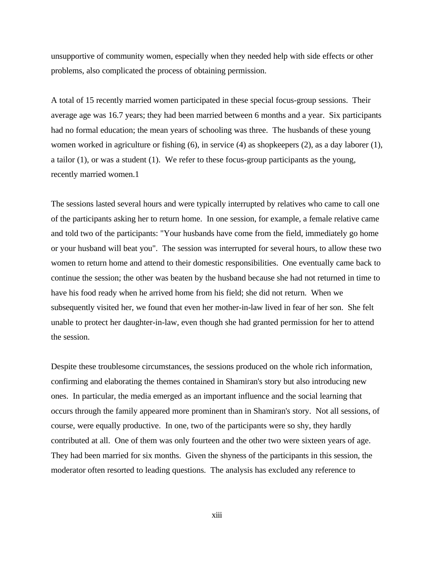unsupportive of community women, especially when they needed help with side effects or other problems, also complicated the process of obtaining permission.

A total of 15 recently married women participated in these special focus-group sessions. Their average age was 16.7 years; they had been married between 6 months and a year. Six participants had no formal education; the mean years of schooling was three. The husbands of these young women worked in agriculture or fishing (6), in service (4) as shopkeepers (2), as a day laborer (1), a tailor (1), or was a student (1). We refer to these focus-group participants as the young, recently married women.1

The sessions lasted several hours and were typically interrupted by relatives who came to call one of the participants asking her to return home. In one session, for example, a female relative came and told two of the participants: "Your husbands have come from the field, immediately go home or your husband will beat you". The session was interrupted for several hours, to allow these two women to return home and attend to their domestic responsibilities. One eventually came back to continue the session; the other was beaten by the husband because she had not returned in time to have his food ready when he arrived home from his field; she did not return. When we subsequently visited her, we found that even her mother-in-law lived in fear of her son. She felt unable to protect her daughter-in-law, even though she had granted permission for her to attend the session.

Despite these troublesome circumstances, the sessions produced on the whole rich information, confirming and elaborating the themes contained in Shamiran's story but also introducing new ones. In particular, the media emerged as an important influence and the social learning that occurs through the family appeared more prominent than in Shamiran's story. Not all sessions, of course, were equally productive. In one, two of the participants were so shy, they hardly contributed at all. One of them was only fourteen and the other two were sixteen years of age. They had been married for six months. Given the shyness of the participants in this session, the moderator often resorted to leading questions. The analysis has excluded any reference to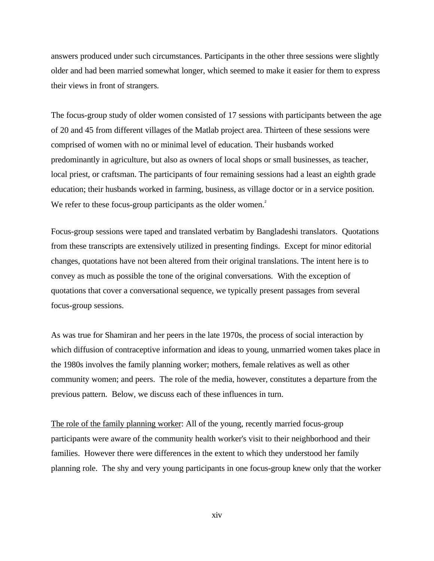answers produced under such circumstances. Participants in the other three sessions were slightly older and had been married somewhat longer, which seemed to make it easier for them to express their views in front of strangers.

The focus-group study of older women consisted of 17 sessions with participants between the age of 20 and 45 from different villages of the Matlab project area. Thirteen of these sessions were comprised of women with no or minimal level of education. Their husbands worked predominantly in agriculture, but also as owners of local shops or small businesses, as teacher, local priest, or craftsman. The participants of four remaining sessions had a least an eighth grade education; their husbands worked in farming, business, as village doctor or in a service position. We refer to these focus-group participants as the older women.<sup>2</sup>

Focus-group sessions were taped and translated verbatim by Bangladeshi translators. Quotations from these transcripts are extensively utilized in presenting findings. Except for minor editorial changes, quotations have not been altered from their original translations. The intent here is to convey as much as possible the tone of the original conversations. With the exception of quotations that cover a conversational sequence, we typically present passages from several focus-group sessions.

As was true for Shamiran and her peers in the late 1970s, the process of social interaction by which diffusion of contraceptive information and ideas to young, unmarried women takes place in the 1980s involves the family planning worker; mothers, female relatives as well as other community women; and peers. The role of the media, however, constitutes a departure from the previous pattern. Below, we discuss each of these influences in turn.

The role of the family planning worker: All of the young, recently married focus-group participants were aware of the community health worker's visit to their neighborhood and their families. However there were differences in the extent to which they understood her family planning role. The shy and very young participants in one focus-group knew only that the worker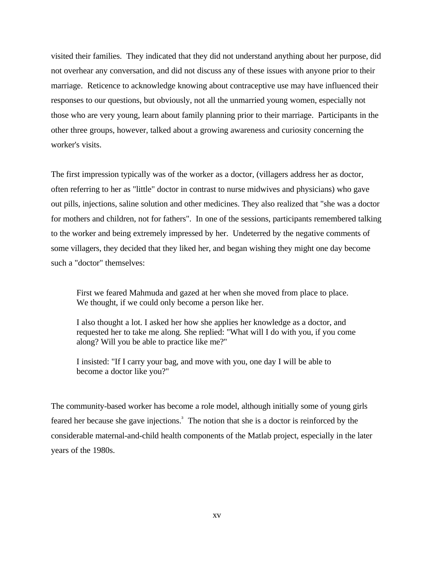visited their families. They indicated that they did not understand anything about her purpose, did not overhear any conversation, and did not discuss any of these issues with anyone prior to their marriage. Reticence to acknowledge knowing about contraceptive use may have influenced their responses to our questions, but obviously, not all the unmarried young women, especially not those who are very young, learn about family planning prior to their marriage. Participants in the other three groups, however, talked about a growing awareness and curiosity concerning the worker's visits.

The first impression typically was of the worker as a doctor, (villagers address her as doctor, often referring to her as "little" doctor in contrast to nurse midwives and physicians) who gave out pills, injections, saline solution and other medicines. They also realized that "she was a doctor for mothers and children, not for fathers". In one of the sessions, participants remembered talking to the worker and being extremely impressed by her. Undeterred by the negative comments of some villagers, they decided that they liked her, and began wishing they might one day become such a "doctor" themselves:

First we feared Mahmuda and gazed at her when she moved from place to place. We thought, if we could only become a person like her.

I also thought a lot. I asked her how she applies her knowledge as a doctor, and requested her to take me along. She replied: "What will I do with you, if you come along? Will you be able to practice like me?"

I insisted: "If I carry your bag, and move with you, one day I will be able to become a doctor like you?"

The community-based worker has become a role model, although initially some of young girls feared her because she gave injections.<sup>3</sup> The notion that she is a doctor is reinforced by the considerable maternal-and-child health components of the Matlab project, especially in the later years of the 1980s.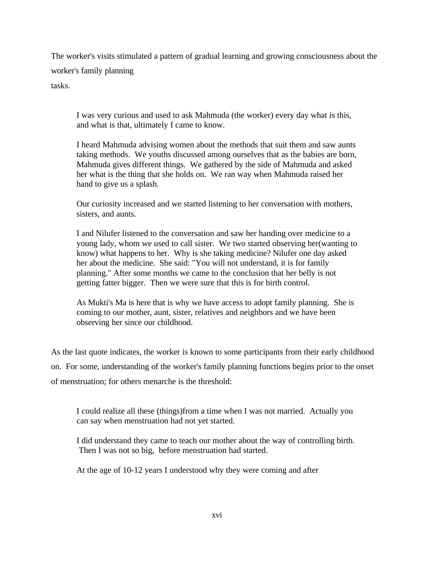The worker's visits stimulated a pattern of gradual learning and growing consciousness about the worker's family planning

tasks.

I was very curious and used to ask Mahmuda (the worker) every day what is this, and what is that, ultimately I came to know.

I heard Mahmuda advising women about the methods that suit them and saw aunts taking methods. We youths discussed among ourselves that as the babies are born, Mahmuda gives different things. We gathered by the side of Mahmuda and asked her what is the thing that she holds on. We ran way when Mahmuda raised her hand to give us a splash.

Our curiosity increased and we started listening to her conversation with mothers, sisters, and aunts.

I and Nilufer listened to the conversation and saw her handing over medicine to a young lady, whom we used to call sister. We two started observing her(wanting to know) what happens to her. Why is she taking medicine? Nilufer one day asked her about the medicine. She said: "You will not understand, it is for family planning." After some months we came to the conclusion that her belly is not getting fatter bigger. Then we were sure that this is for birth control.

As Mukti's Ma is here that is why we have access to adopt family planning. She is coming to our mother, aunt, sister, relatives and neighbors and we have been observing her since our childhood.

As the last quote indicates, the worker is known to some participants from their early childhood on. For some, understanding of the worker's family planning functions begins prior to the onset of menstruation; for others menarche is the threshold:

I could realize all these (things)from a time when I was not married. Actually you can say when menstruation had not yet started.

I did understand they came to teach our mother about the way of controlling birth. Then I was not so big, before menstruation had started.

At the age of 10-12 years I understood why they were coming and after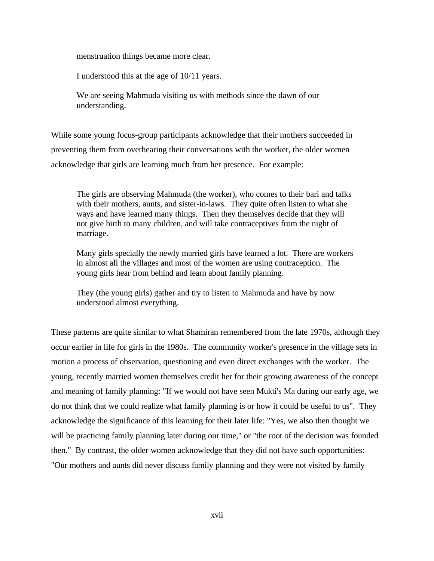menstruation things became more clear.

I understood this at the age of 10/11 years.

We are seeing Mahmuda visiting us with methods since the dawn of our understanding.

While some young focus-group participants acknowledge that their mothers succeeded in preventing them from overhearing their conversations with the worker, the older women acknowledge that girls are learning much from her presence. For example:

The girls are observing Mahmuda (the worker), who comes to their bari and talks with their mothers, aunts, and sister-in-laws. They quite often listen to what she ways and have learned many things. Then they themselves decide that they will not give birth to many children, and will take contraceptives from the night of marriage.

Many girls specially the newly married girls have learned a lot. There are workers in almost all the villages and most of the women are using contraception. The young girls hear from behind and learn about family planning.

They (the young girls) gather and try to listen to Mahmuda and have by now understood almost everything.

These patterns are quite similar to what Shamiran remembered from the late 1970s, although they occur earlier in life for girls in the 1980s. The community worker's presence in the village sets in motion a process of observation, questioning and even direct exchanges with the worker. The young, recently married women themselves credit her for their growing awareness of the concept and meaning of family planning: "If we would not have seen Mukti's Ma during our early age, we do not think that we could realize what family planning is or how it could be useful to us". They acknowledge the significance of this learning for their later life: "Yes, we also then thought we will be practicing family planning later during our time," or "the root of the decision was founded then." By contrast, the older women acknowledge that they did not have such opportunities: "Our mothers and aunts did never discuss family planning and they were not visited by family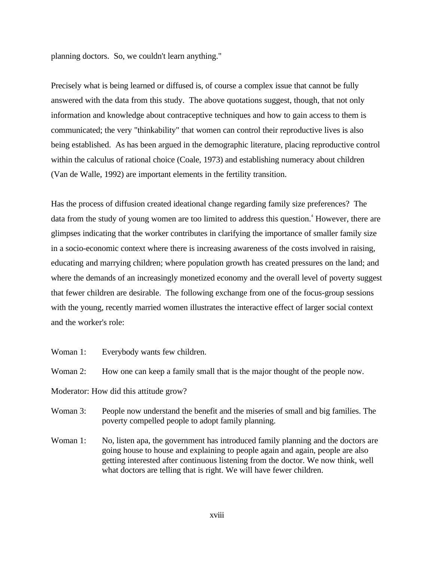planning doctors. So, we couldn't learn anything."

Precisely what is being learned or diffused is, of course a complex issue that cannot be fully answered with the data from this study. The above quotations suggest, though, that not only information and knowledge about contraceptive techniques and how to gain access to them is communicated; the very "thinkability" that women can control their reproductive lives is also being established. As has been argued in the demographic literature, placing reproductive control within the calculus of rational choice (Coale, 1973) and establishing numeracy about children (Van de Walle, 1992) are important elements in the fertility transition.

Has the process of diffusion created ideational change regarding family size preferences? The data from the study of young women are too limited to address this question.<sup>4</sup> However, there are glimpses indicating that the worker contributes in clarifying the importance of smaller family size in a socio-economic context where there is increasing awareness of the costs involved in raising, educating and marrying children; where population growth has created pressures on the land; and where the demands of an increasingly monetized economy and the overall level of poverty suggest that fewer children are desirable. The following exchange from one of the focus-group sessions with the young, recently married women illustrates the interactive effect of larger social context and the worker's role:

Woman 1: Everybody wants few children.

Woman 2: How one can keep a family small that is the major thought of the people now.

Moderator: How did this attitude grow?

- Woman 3: People now understand the benefit and the miseries of small and big families. The poverty compelled people to adopt family planning.
- Woman 1: No, listen apa, the government has introduced family planning and the doctors are going house to house and explaining to people again and again, people are also getting interested after continuous listening from the doctor. We now think, well what doctors are telling that is right. We will have fewer children.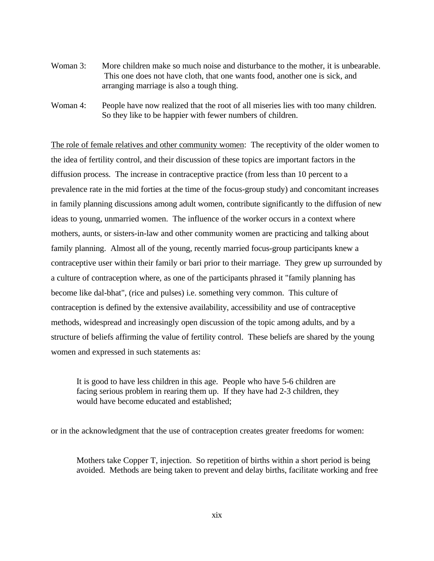- Woman 3: More children make so much noise and disturbance to the mother, it is unbearable. This one does not have cloth, that one wants food, another one is sick, and arranging marriage is also a tough thing.
- Woman 4: People have now realized that the root of all miseries lies with too many children. So they like to be happier with fewer numbers of children.

The role of female relatives and other community women: The receptivity of the older women to the idea of fertility control, and their discussion of these topics are important factors in the diffusion process. The increase in contraceptive practice (from less than 10 percent to a prevalence rate in the mid forties at the time of the focus-group study) and concomitant increases in family planning discussions among adult women, contribute significantly to the diffusion of new ideas to young, unmarried women. The influence of the worker occurs in a context where mothers, aunts, or sisters-in-law and other community women are practicing and talking about family planning. Almost all of the young, recently married focus-group participants knew a contraceptive user within their family or bari prior to their marriage. They grew up surrounded by a culture of contraception where, as one of the participants phrased it "family planning has become like dal-bhat", (rice and pulses) i.e. something very common. This culture of contraception is defined by the extensive availability, accessibility and use of contraceptive methods, widespread and increasingly open discussion of the topic among adults, and by a structure of beliefs affirming the value of fertility control. These beliefs are shared by the young women and expressed in such statements as:

It is good to have less children in this age. People who have 5-6 children are facing serious problem in rearing them up. If they have had 2-3 children, they would have become educated and established;

or in the acknowledgment that the use of contraception creates greater freedoms for women:

Mothers take Copper T, injection. So repetition of births within a short period is being avoided. Methods are being taken to prevent and delay births, facilitate working and free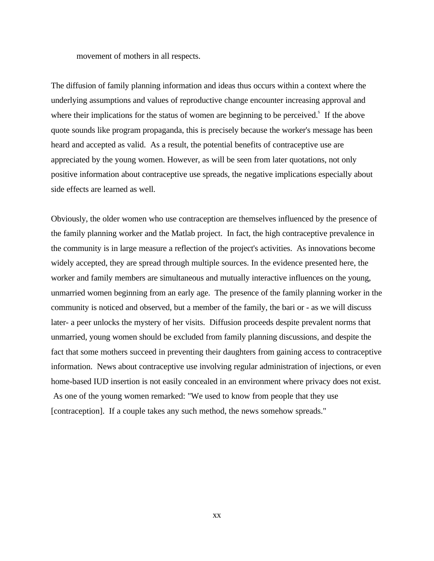movement of mothers in all respects.

The diffusion of family planning information and ideas thus occurs within a context where the underlying assumptions and values of reproductive change encounter increasing approval and where their implications for the status of women are beginning to be perceived.<sup>5</sup> If the above quote sounds like program propaganda, this is precisely because the worker's message has been heard and accepted as valid. As a result, the potential benefits of contraceptive use are appreciated by the young women. However, as will be seen from later quotations, not only positive information about contraceptive use spreads, the negative implications especially about side effects are learned as well.

Obviously, the older women who use contraception are themselves influenced by the presence of the family planning worker and the Matlab project. In fact, the high contraceptive prevalence in the community is in large measure a reflection of the project's activities. As innovations become widely accepted, they are spread through multiple sources. In the evidence presented here, the worker and family members are simultaneous and mutually interactive influences on the young, unmarried women beginning from an early age. The presence of the family planning worker in the community is noticed and observed, but a member of the family, the bari or - as we will discuss later- a peer unlocks the mystery of her visits. Diffusion proceeds despite prevalent norms that unmarried, young women should be excluded from family planning discussions, and despite the fact that some mothers succeed in preventing their daughters from gaining access to contraceptive information. News about contraceptive use involving regular administration of injections, or even home-based IUD insertion is not easily concealed in an environment where privacy does not exist. As one of the young women remarked: "We used to know from people that they use [contraception]. If a couple takes any such method, the news somehow spreads."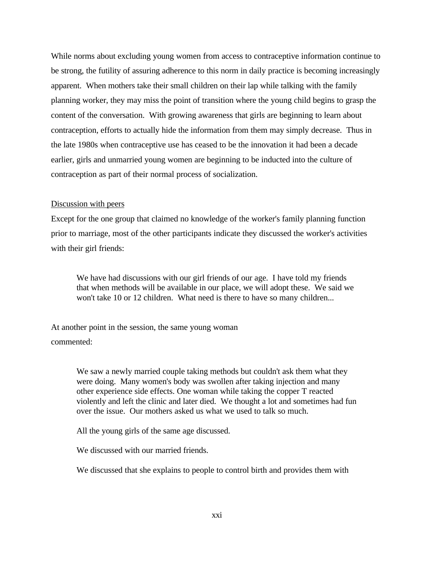While norms about excluding young women from access to contraceptive information continue to be strong, the futility of assuring adherence to this norm in daily practice is becoming increasingly apparent. When mothers take their small children on their lap while talking with the family planning worker, they may miss the point of transition where the young child begins to grasp the content of the conversation. With growing awareness that girls are beginning to learn about contraception, efforts to actually hide the information from them may simply decrease. Thus in the late 1980s when contraceptive use has ceased to be the innovation it had been a decade earlier, girls and unmarried young women are beginning to be inducted into the culture of contraception as part of their normal process of socialization.

#### Discussion with peers

Except for the one group that claimed no knowledge of the worker's family planning function prior to marriage, most of the other participants indicate they discussed the worker's activities with their girl friends:

We have had discussions with our girl friends of our age. I have told my friends that when methods will be available in our place, we will adopt these. We said we won't take 10 or 12 children. What need is there to have so many children...

At another point in the session, the same young woman commented:

> We saw a newly married couple taking methods but couldn't ask them what they were doing. Many women's body was swollen after taking injection and many other experience side effects. One woman while taking the copper T reacted violently and left the clinic and later died. We thought a lot and sometimes had fun over the issue. Our mothers asked us what we used to talk so much.

All the young girls of the same age discussed.

We discussed with our married friends.

We discussed that she explains to people to control birth and provides them with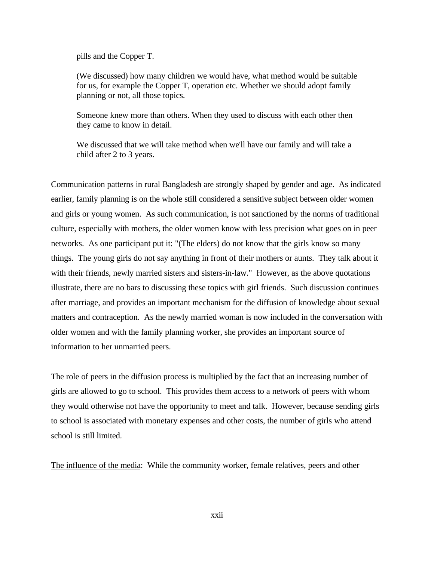pills and the Copper T.

(We discussed) how many children we would have, what method would be suitable for us, for example the Copper T, operation etc. Whether we should adopt family planning or not, all those topics.

Someone knew more than others. When they used to discuss with each other then they came to know in detail.

We discussed that we will take method when we'll have our family and will take a child after 2 to 3 years.

Communication patterns in rural Bangladesh are strongly shaped by gender and age. As indicated earlier, family planning is on the whole still considered a sensitive subject between older women and girls or young women. As such communication, is not sanctioned by the norms of traditional culture, especially with mothers, the older women know with less precision what goes on in peer networks. As one participant put it: "(The elders) do not know that the girls know so many things. The young girls do not say anything in front of their mothers or aunts. They talk about it with their friends, newly married sisters and sisters-in-law." However, as the above quotations illustrate, there are no bars to discussing these topics with girl friends. Such discussion continues after marriage, and provides an important mechanism for the diffusion of knowledge about sexual matters and contraception. As the newly married woman is now included in the conversation with older women and with the family planning worker, she provides an important source of information to her unmarried peers.

The role of peers in the diffusion process is multiplied by the fact that an increasing number of girls are allowed to go to school. This provides them access to a network of peers with whom they would otherwise not have the opportunity to meet and talk. However, because sending girls to school is associated with monetary expenses and other costs, the number of girls who attend school is still limited.

The influence of the media: While the community worker, female relatives, peers and other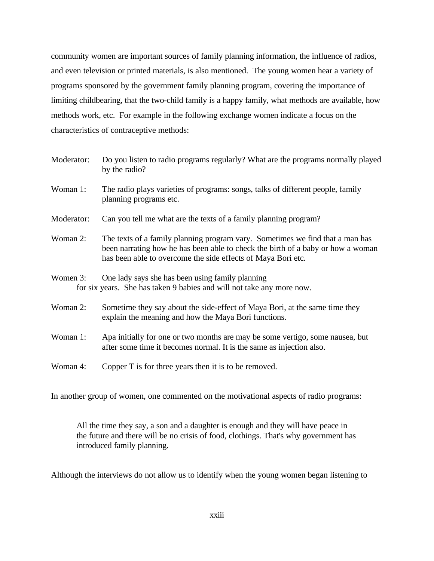community women are important sources of family planning information, the influence of radios, and even television or printed materials, is also mentioned. The young women hear a variety of programs sponsored by the government family planning program, covering the importance of limiting childbearing, that the two-child family is a happy family, what methods are available, how methods work, etc. For example in the following exchange women indicate a focus on the characteristics of contraceptive methods:

Moderator: Do you listen to radio programs regularly? What are the programs normally played by the radio? Woman 1: The radio plays varieties of programs: songs, talks of different people, family planning programs etc. Moderator: Can you tell me what are the texts of a family planning program? Woman 2: The texts of a family planning program vary. Sometimes we find that a man has been narrating how he has been able to check the birth of a baby or how a woman has been able to overcome the side effects of Maya Bori etc. Women 3: One lady says she has been using family planning for six years. She has taken 9 babies and will not take any more now. Woman 2: Sometime they say about the side-effect of Maya Bori, at the same time they explain the meaning and how the Maya Bori functions. Woman 1: Apa initially for one or two months are may be some vertigo, some nausea, but after some time it becomes normal. It is the same as injection also. Woman 4: Copper T is for three years then it is to be removed.

In another group of women, one commented on the motivational aspects of radio programs:

All the time they say, a son and a daughter is enough and they will have peace in the future and there will be no crisis of food, clothings. That's why government has introduced family planning.

Although the interviews do not allow us to identify when the young women began listening to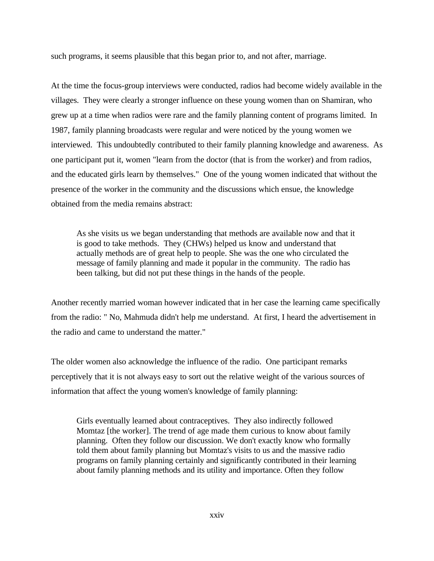such programs, it seems plausible that this began prior to, and not after, marriage.

At the time the focus-group interviews were conducted, radios had become widely available in the villages. They were clearly a stronger influence on these young women than on Shamiran, who grew up at a time when radios were rare and the family planning content of programs limited. In 1987, family planning broadcasts were regular and were noticed by the young women we interviewed. This undoubtedly contributed to their family planning knowledge and awareness. As one participant put it, women "learn from the doctor (that is from the worker) and from radios, and the educated girls learn by themselves." One of the young women indicated that without the presence of the worker in the community and the discussions which ensue, the knowledge obtained from the media remains abstract:

As she visits us we began understanding that methods are available now and that it is good to take methods. They (CHWs) helped us know and understand that actually methods are of great help to people. She was the one who circulated the message of family planning and made it popular in the community. The radio has been talking, but did not put these things in the hands of the people.

Another recently married woman however indicated that in her case the learning came specifically from the radio: " No, Mahmuda didn't help me understand. At first, I heard the advertisement in the radio and came to understand the matter."

The older women also acknowledge the influence of the radio. One participant remarks perceptively that it is not always easy to sort out the relative weight of the various sources of information that affect the young women's knowledge of family planning:

Girls eventually learned about contraceptives. They also indirectly followed Momtaz [the worker]. The trend of age made them curious to know about family planning. Often they follow our discussion. We don't exactly know who formally told them about family planning but Momtaz's visits to us and the massive radio programs on family planning certainly and significantly contributed in their learning about family planning methods and its utility and importance. Often they follow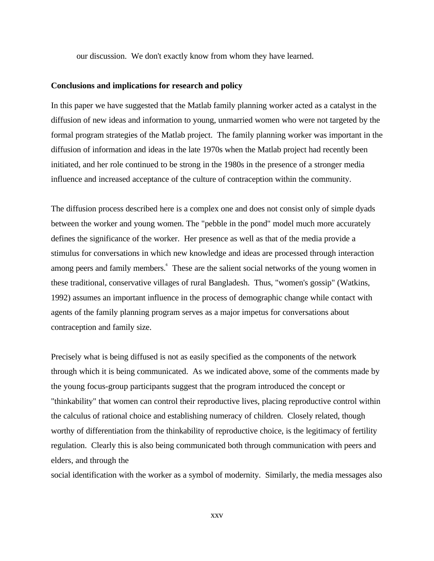our discussion. We don't exactly know from whom they have learned.

#### **Conclusions and implications for research and policy**

In this paper we have suggested that the Matlab family planning worker acted as a catalyst in the diffusion of new ideas and information to young, unmarried women who were not targeted by the formal program strategies of the Matlab project. The family planning worker was important in the diffusion of information and ideas in the late 1970s when the Matlab project had recently been initiated, and her role continued to be strong in the 1980s in the presence of a stronger media influence and increased acceptance of the culture of contraception within the community.

The diffusion process described here is a complex one and does not consist only of simple dyads between the worker and young women. The "pebble in the pond" model much more accurately defines the significance of the worker. Her presence as well as that of the media provide a stimulus for conversations in which new knowledge and ideas are processed through interaction among peers and family members. These are the salient social networks of the young women in these traditional, conservative villages of rural Bangladesh. Thus, "women's gossip" (Watkins, 1992) assumes an important influence in the process of demographic change while contact with agents of the family planning program serves as a major impetus for conversations about contraception and family size.

Precisely what is being diffused is not as easily specified as the components of the network through which it is being communicated. As we indicated above, some of the comments made by the young focus-group participants suggest that the program introduced the concept or "thinkability" that women can control their reproductive lives, placing reproductive control within the calculus of rational choice and establishing numeracy of children. Closely related, though worthy of differentiation from the thinkability of reproductive choice, is the legitimacy of fertility regulation. Clearly this is also being communicated both through communication with peers and elders, and through the

social identification with the worker as a symbol of modernity. Similarly, the media messages also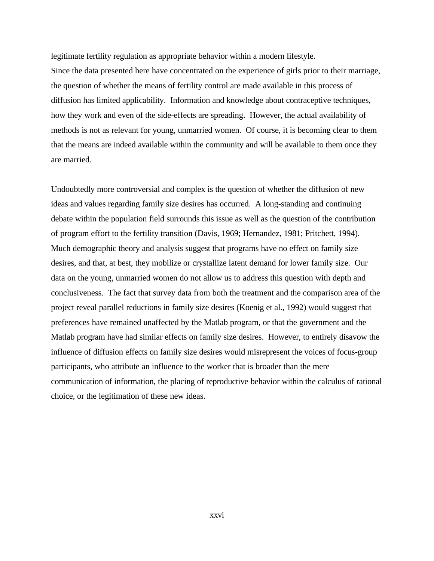legitimate fertility regulation as appropriate behavior within a modern lifestyle. Since the data presented here have concentrated on the experience of girls prior to their marriage, the question of whether the means of fertility control are made available in this process of diffusion has limited applicability. Information and knowledge about contraceptive techniques, how they work and even of the side-effects are spreading. However, the actual availability of methods is not as relevant for young, unmarried women. Of course, it is becoming clear to them that the means are indeed available within the community and will be available to them once they are married.

Undoubtedly more controversial and complex is the question of whether the diffusion of new ideas and values regarding family size desires has occurred. A long-standing and continuing debate within the population field surrounds this issue as well as the question of the contribution of program effort to the fertility transition (Davis, 1969; Hernandez, 1981; Pritchett, 1994). Much demographic theory and analysis suggest that programs have no effect on family size desires, and that, at best, they mobilize or crystallize latent demand for lower family size. Our data on the young, unmarried women do not allow us to address this question with depth and conclusiveness. The fact that survey data from both the treatment and the comparison area of the project reveal parallel reductions in family size desires (Koenig et al., 1992) would suggest that preferences have remained unaffected by the Matlab program, or that the government and the Matlab program have had similar effects on family size desires. However, to entirely disavow the influence of diffusion effects on family size desires would misrepresent the voices of focus-group participants, who attribute an influence to the worker that is broader than the mere communication of information, the placing of reproductive behavior within the calculus of rational choice, or the legitimation of these new ideas.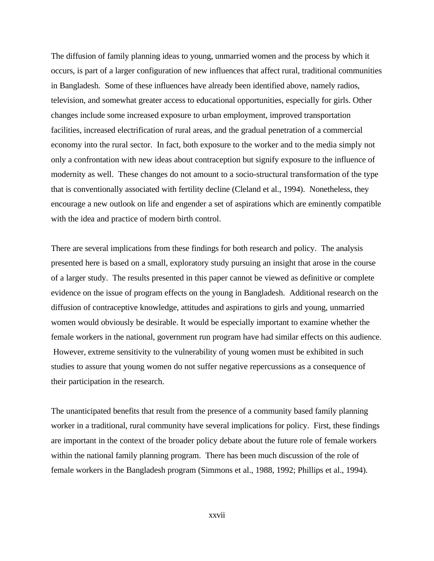The diffusion of family planning ideas to young, unmarried women and the process by which it occurs, is part of a larger configuration of new influences that affect rural, traditional communities in Bangladesh. Some of these influences have already been identified above, namely radios, television, and somewhat greater access to educational opportunities, especially for girls. Other changes include some increased exposure to urban employment, improved transportation facilities, increased electrification of rural areas, and the gradual penetration of a commercial economy into the rural sector. In fact, both exposure to the worker and to the media simply not only a confrontation with new ideas about contraception but signify exposure to the influence of modernity as well. These changes do not amount to a socio-structural transformation of the type that is conventionally associated with fertility decline (Cleland et al., 1994). Nonetheless, they encourage a new outlook on life and engender a set of aspirations which are eminently compatible with the idea and practice of modern birth control.

There are several implications from these findings for both research and policy. The analysis presented here is based on a small, exploratory study pursuing an insight that arose in the course of a larger study. The results presented in this paper cannot be viewed as definitive or complete evidence on the issue of program effects on the young in Bangladesh. Additional research on the diffusion of contraceptive knowledge, attitudes and aspirations to girls and young, unmarried women would obviously be desirable. It would be especially important to examine whether the female workers in the national, government run program have had similar effects on this audience. However, extreme sensitivity to the vulnerability of young women must be exhibited in such studies to assure that young women do not suffer negative repercussions as a consequence of their participation in the research.

The unanticipated benefits that result from the presence of a community based family planning worker in a traditional, rural community have several implications for policy. First, these findings are important in the context of the broader policy debate about the future role of female workers within the national family planning program. There has been much discussion of the role of female workers in the Bangladesh program (Simmons et al., 1988, 1992; Phillips et al., 1994).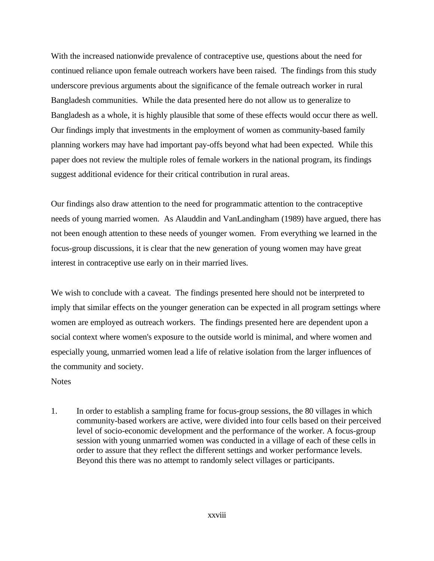With the increased nationwide prevalence of contraceptive use, questions about the need for continued reliance upon female outreach workers have been raised. The findings from this study underscore previous arguments about the significance of the female outreach worker in rural Bangladesh communities. While the data presented here do not allow us to generalize to Bangladesh as a whole, it is highly plausible that some of these effects would occur there as well. Our findings imply that investments in the employment of women as community-based family planning workers may have had important pay-offs beyond what had been expected. While this paper does not review the multiple roles of female workers in the national program, its findings suggest additional evidence for their critical contribution in rural areas.

Our findings also draw attention to the need for programmatic attention to the contraceptive needs of young married women. As Alauddin and VanLandingham (1989) have argued, there has not been enough attention to these needs of younger women. From everything we learned in the focus-group discussions, it is clear that the new generation of young women may have great interest in contraceptive use early on in their married lives.

We wish to conclude with a caveat. The findings presented here should not be interpreted to imply that similar effects on the younger generation can be expected in all program settings where women are employed as outreach workers. The findings presented here are dependent upon a social context where women's exposure to the outside world is minimal, and where women and especially young, unmarried women lead a life of relative isolation from the larger influences of the community and society.

#### **Notes**

1. In order to establish a sampling frame for focus-group sessions, the 80 villages in which community-based workers are active, were divided into four cells based on their perceived level of socio-economic development and the performance of the worker. A focus-group session with young unmarried women was conducted in a village of each of these cells in order to assure that they reflect the different settings and worker performance levels. Beyond this there was no attempt to randomly select villages or participants.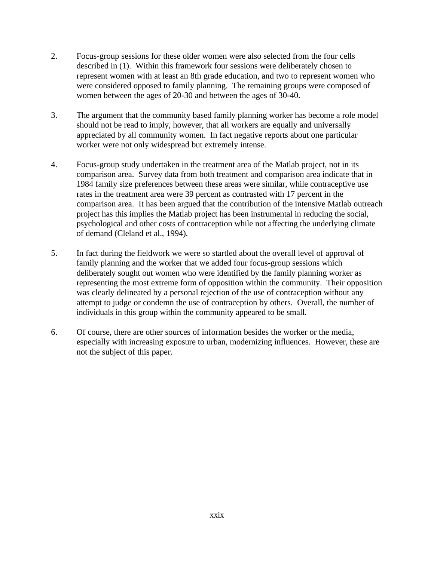- 2. Focus-group sessions for these older women were also selected from the four cells described in (1). Within this framework four sessions were deliberately chosen to represent women with at least an 8th grade education, and two to represent women who were considered opposed to family planning. The remaining groups were composed of women between the ages of 20-30 and between the ages of 30-40.
- 3. The argument that the community based family planning worker has become a role model should not be read to imply, however, that all workers are equally and universally appreciated by all community women. In fact negative reports about one particular worker were not only widespread but extremely intense.
- 4. Focus-group study undertaken in the treatment area of the Matlab project, not in its comparison area. Survey data from both treatment and comparison area indicate that in 1984 family size preferences between these areas were similar, while contraceptive use rates in the treatment area were 39 percent as contrasted with 17 percent in the comparison area. It has been argued that the contribution of the intensive Matlab outreach project has this implies the Matlab project has been instrumental in reducing the social, psychological and other costs of contraception while not affecting the underlying climate of demand (Cleland et al., 1994).
- 5. In fact during the fieldwork we were so startled about the overall level of approval of family planning and the worker that we added four focus-group sessions which deliberately sought out women who were identified by the family planning worker as representing the most extreme form of opposition within the community. Their opposition was clearly delineated by a personal rejection of the use of contraception without any attempt to judge or condemn the use of contraception by others. Overall, the number of individuals in this group within the community appeared to be small.
- 6. Of course, there are other sources of information besides the worker or the media, especially with increasing exposure to urban, modernizing influences. However, these are not the subject of this paper.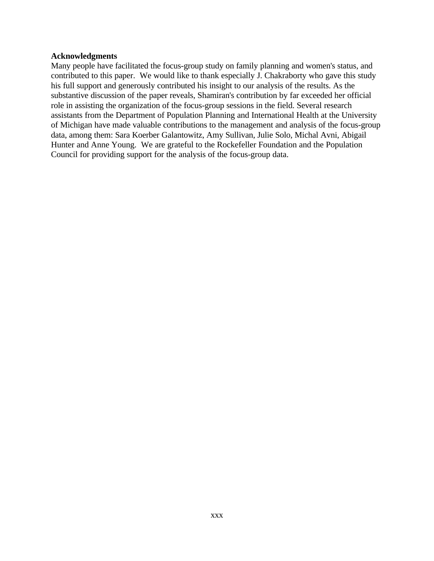## **Acknowledgments**

Many people have facilitated the focus-group study on family planning and women's status, and contributed to this paper. We would like to thank especially J. Chakraborty who gave this study his full support and generously contributed his insight to our analysis of the results. As the substantive discussion of the paper reveals, Shamiran's contribution by far exceeded her official role in assisting the organization of the focus-group sessions in the field. Several research assistants from the Department of Population Planning and International Health at the University of Michigan have made valuable contributions to the management and analysis of the focus-group data, among them: Sara Koerber Galantowitz, Amy Sullivan, Julie Solo, Michal Avni, Abigail Hunter and Anne Young. We are grateful to the Rockefeller Foundation and the Population Council for providing support for the analysis of the focus-group data.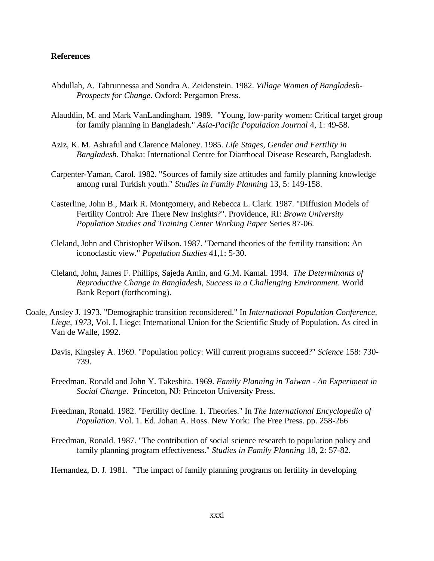# **References**

- Abdullah, A. Tahrunnessa and Sondra A. Zeidenstein. 1982. *Village Women of Bangladesh-Prospects for Change*. Oxford: Pergamon Press.
- Alauddin, M. and Mark VanLandingham. 1989. "Young, low-parity women: Critical target group for family planning in Bangladesh." *Asia-Pacific Population Journal* 4, 1: 49-58.
- Aziz, K. M. Ashraful and Clarence Maloney. 1985. *Life Stages, Gender and Fertility in Bangladesh*. Dhaka: International Centre for Diarrhoeal Disease Research, Bangladesh.
- Carpenter-Yaman, Carol. 1982. "Sources of family size attitudes and family planning knowledge among rural Turkish youth." *Studies in Family Planning* 13, 5: 149-158.
- Casterline, John B., Mark R. Montgomery, and Rebecca L. Clark. 1987. "Diffusion Models of Fertility Control: Are There New Insights?". Providence, RI: *Brown University Population Studies and Training Center Working Paper* Series 87-06.
- Cleland, John and Christopher Wilson. 1987. "Demand theories of the fertility transition: An iconoclastic view." *Population Studies* 41,1: 5-30.
- Cleland, John, James F. Phillips, Sajeda Amin, and G.M. Kamal. 1994. *The Determinants of Reproductive Change in Bangladesh, Success in a Challenging Environment*. World Bank Report (forthcoming).
- Coale, Ansley J. 1973. "Demographic transition reconsidered." In *International Population Conference, Liege, 1973,* Vol. I. Liege: International Union for the Scientific Study of Population. As cited in Van de Walle, 1992.
	- Davis, Kingsley A. 1969. "Population policy: Will current programs succeed?" *Science* 158: 730- 739.
	- Freedman, Ronald and John Y. Takeshita. 1969. *Family Planning in Taiwan An Experiment in Social Change*. Princeton, NJ: Princeton University Press.
	- Freedman, Ronald. 1982. "Fertility decline. 1. Theories." In *The International Encyclopedia of Population*. Vol. 1. Ed. Johan A. Ross. New York: The Free Press. pp. 258-266
	- Freedman, Ronald. 1987. "The contribution of social science research to population policy and family planning program effectiveness." *Studies in Family Planning* 18, 2: 57-82.

Hernandez, D. J. 1981. "The impact of family planning programs on fertility in developing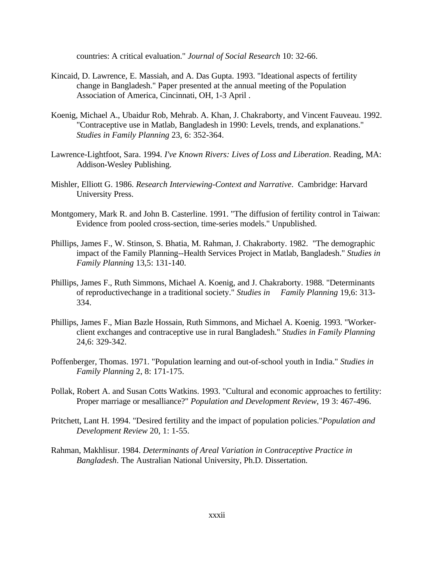countries: A critical evaluation." *Journal of Social Research* 10: 32-66.

- Kincaid, D. Lawrence, E. Massiah, and A. Das Gupta. 1993. "Ideational aspects of fertility change in Bangladesh." Paper presented at the annual meeting of the Population Association of America, Cincinnati, OH, 1-3 April .
- Koenig, Michael A., Ubaidur Rob, Mehrab. A. Khan, J. Chakraborty, and Vincent Fauveau. 1992. "Contraceptive use in Matlab, Bangladesh in 1990: Levels, trends, and explanations." *Studies in Family Planning* 23, 6: 352-364.
- Lawrence-Lightfoot, Sara. 1994. *I've Known Rivers: Lives of Loss and Liberation*. Reading, MA: Addison-Wesley Publishing.
- Mishler, Elliott G. 1986. *Research Interviewing-Context and Narrative*. Cambridge: Harvard University Press.
- Montgomery, Mark R. and John B. Casterline. 1991. "The diffusion of fertility control in Taiwan: Evidence from pooled cross-section, time-series models." Unpublished.
- Phillips, James F., W. Stinson, S. Bhatia, M. Rahman, J. Chakraborty. 1982. "The demographic impact of the Family Planning--Health Services Project in Matlab, Bangladesh." *Studies in Family Planning* 13,5: 131-140.
- Phillips, James F., Ruth Simmons, Michael A. Koenig, and J. Chakraborty. 1988. "Determinants of reproductivechange in a traditional society." *Studies in Family Planning* 19,6: 313- 334.
- Phillips, James F., Mian Bazle Hossain, Ruth Simmons, and Michael A. Koenig. 1993. "Workerclient exchanges and contraceptive use in rural Bangladesh." *Studies in Family Planning* 24,6: 329-342.
- Poffenberger, Thomas. 1971. "Population learning and out-of-school youth in India." *Studies in Family Planning* 2, 8: 171-175.
- Pollak, Robert A. and Susan Cotts Watkins. 1993. "Cultural and economic approaches to fertility: Proper marriage or mesalliance?" *Population and Development Review*, 19 3: 467-496.
- Pritchett, Lant H. 1994. "Desired fertility and the impact of population policies."*Population and Development Review* 20, 1: 1-55.
- Rahman, Makhlisur. 1984. *Determinants of Areal Variation in Contraceptive Practice in Bangladesh*. The Australian National University, Ph.D. Dissertation.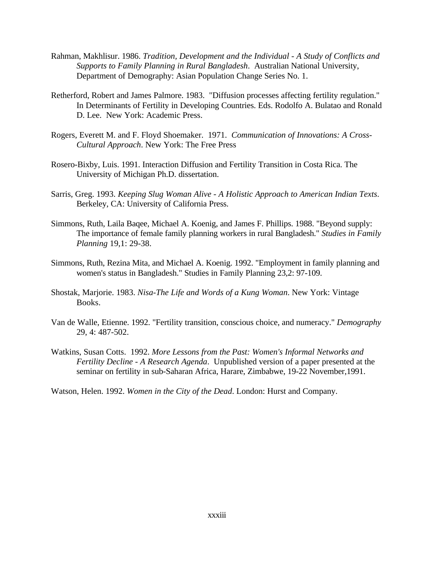- Rahman, Makhlisur. 1986. *Tradition, Development and the Individual A Study of Conflicts and Supports to Family Planning in Rural Bangladesh*. Australian National University, Department of Demography: Asian Population Change Series No. 1.
- Retherford, Robert and James Palmore. 1983. "Diffusion processes affecting fertility regulation." In Determinants of Fertility in Developing Countries. Eds. Rodolfo A. Bulatao and Ronald D. Lee. New York: Academic Press.
- Rogers, Everett M. and F. Floyd Shoemaker. 1971. *Communication of Innovations: A Cross-Cultural Approach*. New York: The Free Press
- Rosero-Bixby, Luis. 1991. Interaction Diffusion and Fertility Transition in Costa Rica. The University of Michigan Ph.D. dissertation.
- Sarris, Greg. 1993. *Keeping Slug Woman Alive A Holistic Approach to American Indian Texts*. Berkeley, CA: University of California Press.
- Simmons, Ruth, Laila Baqee, Michael A. Koenig, and James F. Phillips. 1988. "Beyond supply: The importance of female family planning workers in rural Bangladesh." *Studies in Family Planning* 19,1: 29-38.
- Simmons, Ruth, Rezina Mita, and Michael A. Koenig. 1992. "Employment in family planning and women's status in Bangladesh." Studies in Family Planning 23,2: 97-109.
- Shostak, Marjorie. 1983. *Nisa-The Life and Words of a Kung Woman*. New York: Vintage Books.
- Van de Walle, Etienne. 1992. "Fertility transition, conscious choice, and numeracy." *Demography* 29, 4: 487-502.
- Watkins, Susan Cotts. 1992. *More Lessons from the Past: Women's Informal Networks and Fertility Decline - A Research Agenda*. Unpublished version of a paper presented at the seminar on fertility in sub-Saharan Africa, Harare, Zimbabwe, 19-22 November,1991.

Watson, Helen. 1992. *Women in the City of the Dead*. London: Hurst and Company.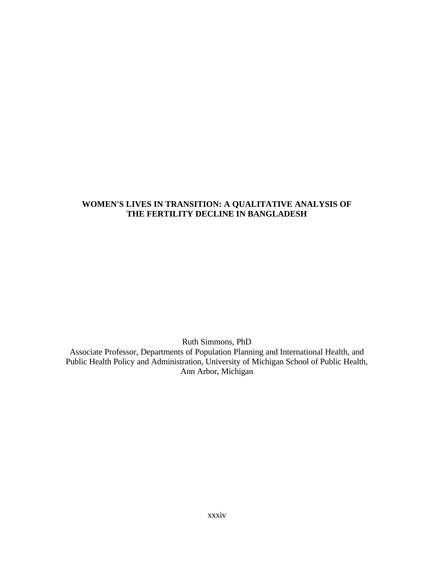# **WOMEN'S LIVES IN TRANSITION: A QUALITATIVE ANALYSIS OF THE FERTILITY DECLINE IN BANGLADESH**

Ruth Simmons, PhD

Associate Professor, Departments of Population Planning and International Health, and Public Health Policy and Administration, University of Michigan School of Public Health, Ann Arbor, Michigan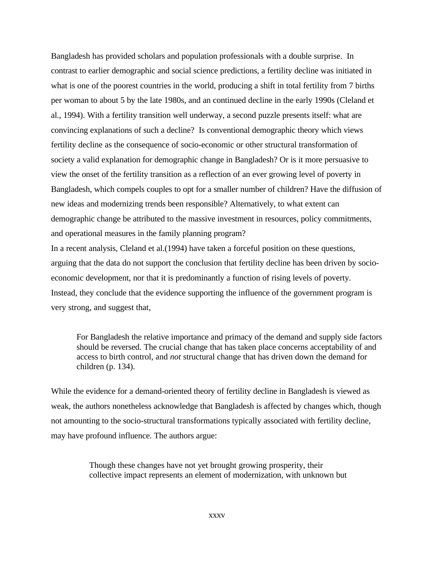Bangladesh has provided scholars and population professionals with a double surprise. In contrast to earlier demographic and social science predictions, a fertility decline was initiated in what is one of the poorest countries in the world, producing a shift in total fertility from 7 births per woman to about 5 by the late 1980s, and an continued decline in the early 1990s (Cleland et al., 1994). With a fertility transition well underway, a second puzzle presents itself: what are convincing explanations of such a decline? Is conventional demographic theory which views fertility decline as the consequence of socio-economic or other structural transformation of society a valid explanation for demographic change in Bangladesh? Or is it more persuasive to view the onset of the fertility transition as a reflection of an ever growing level of poverty in Bangladesh, which compels couples to opt for a smaller number of children? Have the diffusion of new ideas and modernizing trends been responsible? Alternatively, to what extent can demographic change be attributed to the massive investment in resources, policy commitments, and operational measures in the family planning program?

In a recent analysis, Cleland et al.(1994) have taken a forceful position on these questions, arguing that the data do not support the conclusion that fertility decline has been driven by socioeconomic development, nor that it is predominantly a function of rising levels of poverty. Instead, they conclude that the evidence supporting the influence of the government program is very strong, and suggest that,

For Bangladesh the relative importance and primacy of the demand and supply side factors should be reversed. The crucial change that has taken place concerns acceptability of and access to birth control, and *not* structural change that has driven down the demand for children (p. 134).

While the evidence for a demand-oriented theory of fertility decline in Bangladesh is viewed as weak, the authors nonetheless acknowledge that Bangladesh is affected by changes which, though not amounting to the socio-structural transformations typically associated with fertility decline, may have profound influence. The authors argue:

> Though these changes have not yet brought growing prosperity, their collective impact represents an element of modernization, with unknown but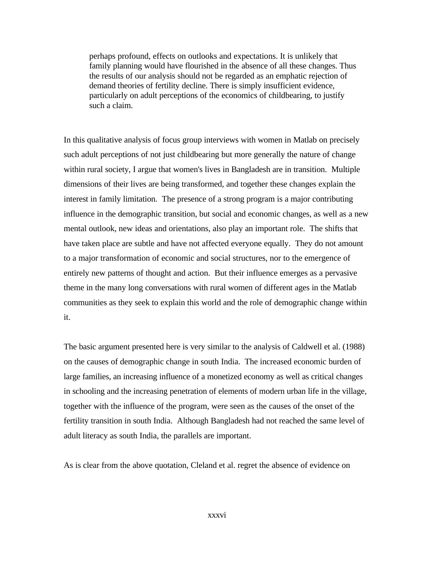perhaps profound, effects on outlooks and expectations. It is unlikely that family planning would have flourished in the absence of all these changes. Thus the results of our analysis should not be regarded as an emphatic rejection of demand theories of fertility decline. There is simply insufficient evidence, particularly on adult perceptions of the economics of childbearing, to justify such a claim.

In this qualitative analysis of focus group interviews with women in Matlab on precisely such adult perceptions of not just childbearing but more generally the nature of change within rural society, I argue that women's lives in Bangladesh are in transition. Multiple dimensions of their lives are being transformed, and together these changes explain the interest in family limitation. The presence of a strong program is a major contributing influence in the demographic transition, but social and economic changes, as well as a new mental outlook, new ideas and orientations, also play an important role. The shifts that have taken place are subtle and have not affected everyone equally. They do not amount to a major transformation of economic and social structures, nor to the emergence of entirely new patterns of thought and action. But their influence emerges as a pervasive theme in the many long conversations with rural women of different ages in the Matlab communities as they seek to explain this world and the role of demographic change within it.

The basic argument presented here is very similar to the analysis of Caldwell et al. (1988) on the causes of demographic change in south India. The increased economic burden of large families, an increasing influence of a monetized economy as well as critical changes in schooling and the increasing penetration of elements of modern urban life in the village, together with the influence of the program, were seen as the causes of the onset of the fertility transition in south India. Although Bangladesh had not reached the same level of adult literacy as south India, the parallels are important.

As is clear from the above quotation, Cleland et al. regret the absence of evidence on

xxxvi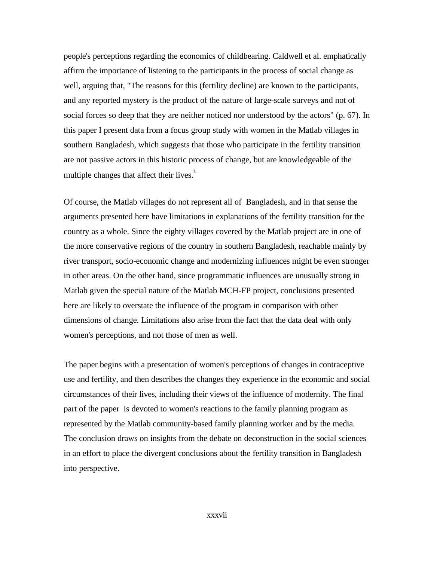people's perceptions regarding the economics of childbearing. Caldwell et al. emphatically affirm the importance of listening to the participants in the process of social change as well, arguing that, "The reasons for this (fertility decline) are known to the participants, and any reported mystery is the product of the nature of large-scale surveys and not of social forces so deep that they are neither noticed nor understood by the actors" (p. 67). In this paper I present data from a focus group study with women in the Matlab villages in southern Bangladesh, which suggests that those who participate in the fertility transition are not passive actors in this historic process of change, but are knowledgeable of the multiple changes that affect their lives.<sup>1</sup>

Of course, the Matlab villages do not represent all of Bangladesh, and in that sense the arguments presented here have limitations in explanations of the fertility transition for the country as a whole. Since the eighty villages covered by the Matlab project are in one of the more conservative regions of the country in southern Bangladesh, reachable mainly by river transport, socio-economic change and modernizing influences might be even stronger in other areas. On the other hand, since programmatic influences are unusually strong in Matlab given the special nature of the Matlab MCH-FP project, conclusions presented here are likely to overstate the influence of the program in comparison with other dimensions of change. Limitations also arise from the fact that the data deal with only women's perceptions, and not those of men as well.

The paper begins with a presentation of women's perceptions of changes in contraceptive use and fertility, and then describes the changes they experience in the economic and social circumstances of their lives, including their views of the influence of modernity. The final part of the paper is devoted to women's reactions to the family planning program as represented by the Matlab community-based family planning worker and by the media. The conclusion draws on insights from the debate on deconstruction in the social sciences in an effort to place the divergent conclusions about the fertility transition in Bangladesh into perspective.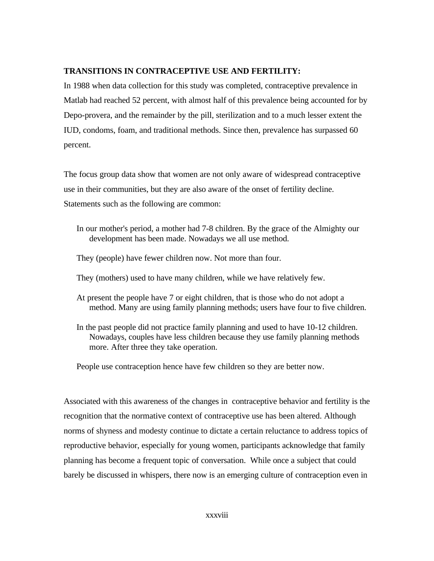# **TRANSITIONS IN CONTRACEPTIVE USE AND FERTILITY:**

In 1988 when data collection for this study was completed, contraceptive prevalence in Matlab had reached 52 percent, with almost half of this prevalence being accounted for by Depo-provera, and the remainder by the pill, sterilization and to a much lesser extent the IUD, condoms, foam, and traditional methods. Since then, prevalence has surpassed 60 percent.

The focus group data show that women are not only aware of widespread contraceptive use in their communities, but they are also aware of the onset of fertility decline. Statements such as the following are common:

- In our mother's period, a mother had 7-8 children. By the grace of the Almighty our development has been made. Nowadays we all use method.
- They (people) have fewer children now. Not more than four.
- They (mothers) used to have many children, while we have relatively few.
- At present the people have 7 or eight children, that is those who do not adopt a method. Many are using family planning methods; users have four to five children.
- In the past people did not practice family planning and used to have 10-12 children. Nowadays, couples have less children because they use family planning methods more. After three they take operation.

People use contraception hence have few children so they are better now.

Associated with this awareness of the changes in contraceptive behavior and fertility is the recognition that the normative context of contraceptive use has been altered. Although norms of shyness and modesty continue to dictate a certain reluctance to address topics of reproductive behavior, especially for young women, participants acknowledge that family planning has become a frequent topic of conversation. While once a subject that could barely be discussed in whispers, there now is an emerging culture of contraception even in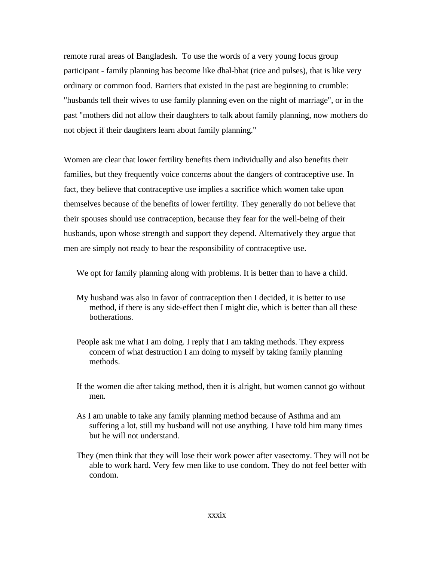remote rural areas of Bangladesh. To use the words of a very young focus group participant - family planning has become like dhal-bhat (rice and pulses), that is like very ordinary or common food. Barriers that existed in the past are beginning to crumble: "husbands tell their wives to use family planning even on the night of marriage", or in the past "mothers did not allow their daughters to talk about family planning, now mothers do not object if their daughters learn about family planning."

Women are clear that lower fertility benefits them individually and also benefits their families, but they frequently voice concerns about the dangers of contraceptive use. In fact, they believe that contraceptive use implies a sacrifice which women take upon themselves because of the benefits of lower fertility. They generally do not believe that their spouses should use contraception, because they fear for the well-being of their husbands, upon whose strength and support they depend. Alternatively they argue that men are simply not ready to bear the responsibility of contraceptive use.

We opt for family planning along with problems. It is better than to have a child.

- My husband was also in favor of contraception then I decided, it is better to use method, if there is any side-effect then I might die, which is better than all these botherations.
- People ask me what I am doing. I reply that I am taking methods. They express concern of what destruction I am doing to myself by taking family planning methods.
- If the women die after taking method, then it is alright, but women cannot go without men.
- As I am unable to take any family planning method because of Asthma and am suffering a lot, still my husband will not use anything. I have told him many times but he will not understand.
- They (men think that they will lose their work power after vasectomy. They will not be able to work hard. Very few men like to use condom. They do not feel better with condom.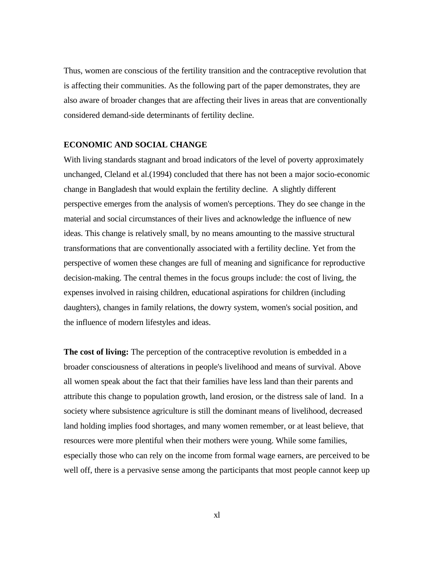Thus, women are conscious of the fertility transition and the contraceptive revolution that is affecting their communities. As the following part of the paper demonstrates, they are also aware of broader changes that are affecting their lives in areas that are conventionally considered demand-side determinants of fertility decline.

#### **ECONOMIC AND SOCIAL CHANGE**

With living standards stagnant and broad indicators of the level of poverty approximately unchanged, Cleland et al.(1994) concluded that there has not been a major socio-economic change in Bangladesh that would explain the fertility decline. A slightly different perspective emerges from the analysis of women's perceptions. They do see change in the material and social circumstances of their lives and acknowledge the influence of new ideas. This change is relatively small, by no means amounting to the massive structural transformations that are conventionally associated with a fertility decline. Yet from the perspective of women these changes are full of meaning and significance for reproductive decision-making. The central themes in the focus groups include: the cost of living, the expenses involved in raising children, educational aspirations for children (including daughters), changes in family relations, the dowry system, women's social position, and the influence of modern lifestyles and ideas.

**The cost of living:** The perception of the contraceptive revolution is embedded in a broader consciousness of alterations in people's livelihood and means of survival. Above all women speak about the fact that their families have less land than their parents and attribute this change to population growth, land erosion, or the distress sale of land. In a society where subsistence agriculture is still the dominant means of livelihood, decreased land holding implies food shortages, and many women remember, or at least believe, that resources were more plentiful when their mothers were young. While some families, especially those who can rely on the income from formal wage earners, are perceived to be well off, there is a pervasive sense among the participants that most people cannot keep up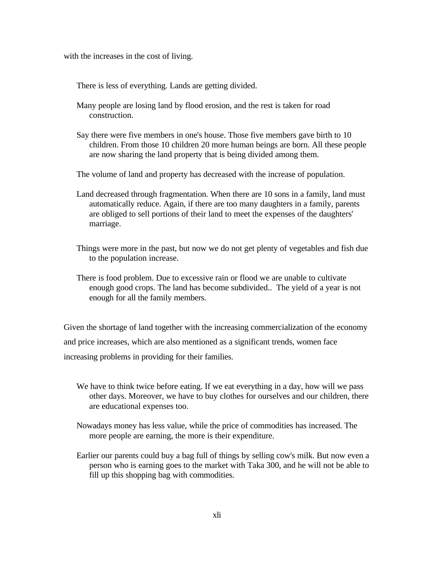with the increases in the cost of living.

There is less of everything. Lands are getting divided.

- Many people are losing land by flood erosion, and the rest is taken for road construction.
- Say there were five members in one's house. Those five members gave birth to 10 children. From those 10 children 20 more human beings are born. All these people are now sharing the land property that is being divided among them.

The volume of land and property has decreased with the increase of population.

- Land decreased through fragmentation. When there are 10 sons in a family, land must automatically reduce. Again, if there are too many daughters in a family, parents are obliged to sell portions of their land to meet the expenses of the daughters' marriage.
- Things were more in the past, but now we do not get plenty of vegetables and fish due to the population increase.
- There is food problem. Due to excessive rain or flood we are unable to cultivate enough good crops. The land has become subdivided.. The yield of a year is not enough for all the family members.

Given the shortage of land together with the increasing commercialization of the economy and price increases, which are also mentioned as a significant trends, women face increasing problems in providing for their families.

- We have to think twice before eating. If we eat everything in a day, how will we pass other days. Moreover, we have to buy clothes for ourselves and our children, there are educational expenses too.
- Nowadays money has less value, while the price of commodities has increased. The more people are earning, the more is their expenditure.
- Earlier our parents could buy a bag full of things by selling cow's milk. But now even a person who is earning goes to the market with Taka 300, and he will not be able to fill up this shopping bag with commodities.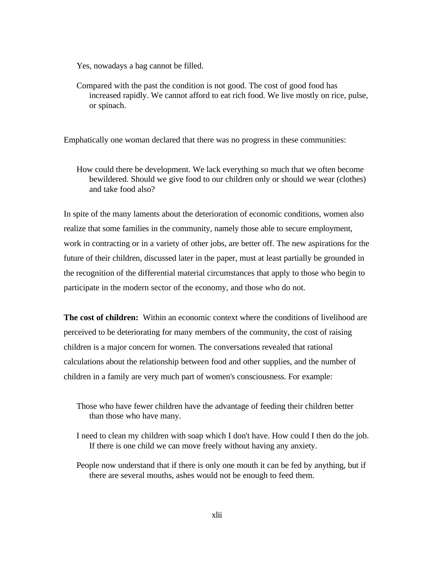Yes, nowadays a bag cannot be filled.

Compared with the past the condition is not good. The cost of good food has increased rapidly. We cannot afford to eat rich food. We live mostly on rice, pulse, or spinach.

Emphatically one woman declared that there was no progress in these communities:

How could there be development. We lack everything so much that we often become bewildered. Should we give food to our children only or should we wear (clothes) and take food also?

In spite of the many laments about the deterioration of economic conditions, women also realize that some families in the community, namely those able to secure employment, work in contracting or in a variety of other jobs, are better off. The new aspirations for the future of their children, discussed later in the paper, must at least partially be grounded in the recognition of the differential material circumstances that apply to those who begin to participate in the modern sector of the economy, and those who do not.

**The cost of children:** Within an economic context where the conditions of livelihood are perceived to be deteriorating for many members of the community, the cost of raising children is a major concern for women. The conversations revealed that rational calculations about the relationship between food and other supplies, and the number of children in a family are very much part of women's consciousness. For example:

- Those who have fewer children have the advantage of feeding their children better than those who have many.
- I need to clean my children with soap which I don't have. How could I then do the job. If there is one child we can move freely without having any anxiety.
- People now understand that if there is only one mouth it can be fed by anything, but if there are several mouths, ashes would not be enough to feed them.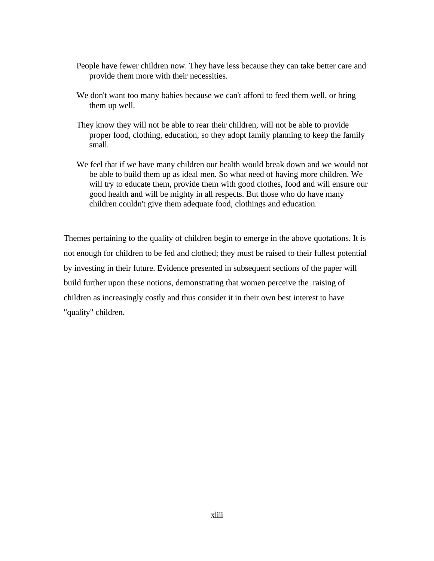- People have fewer children now. They have less because they can take better care and provide them more with their necessities.
- We don't want too many babies because we can't afford to feed them well, or bring them up well.
- They know they will not be able to rear their children, will not be able to provide proper food, clothing, education, so they adopt family planning to keep the family small.
- We feel that if we have many children our health would break down and we would not be able to build them up as ideal men. So what need of having more children. We will try to educate them, provide them with good clothes, food and will ensure our good health and will be mighty in all respects. But those who do have many children couldn't give them adequate food, clothings and education.

Themes pertaining to the quality of children begin to emerge in the above quotations. It is not enough for children to be fed and clothed; they must be raised to their fullest potential by investing in their future. Evidence presented in subsequent sections of the paper will build further upon these notions, demonstrating that women perceive the raising of children as increasingly costly and thus consider it in their own best interest to have "quality" children.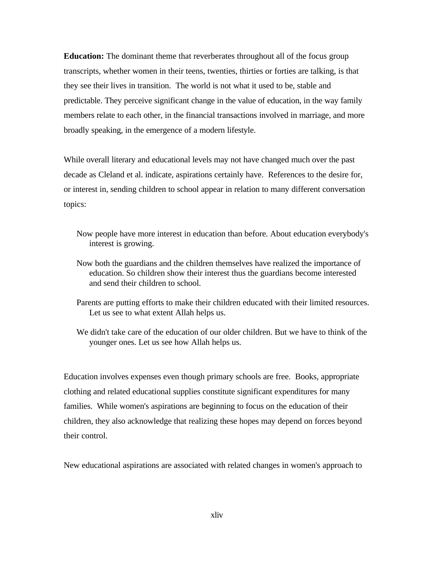**Education:** The dominant theme that reverberates throughout all of the focus group transcripts, whether women in their teens, twenties, thirties or forties are talking, is that they see their lives in transition. The world is not what it used to be, stable and predictable. They perceive significant change in the value of education, in the way family members relate to each other, in the financial transactions involved in marriage, and more broadly speaking, in the emergence of a modern lifestyle.

While overall literary and educational levels may not have changed much over the past decade as Cleland et al. indicate, aspirations certainly have. References to the desire for, or interest in, sending children to school appear in relation to many different conversation topics:

- Now people have more interest in education than before. About education everybody's interest is growing.
- Now both the guardians and the children themselves have realized the importance of education. So children show their interest thus the guardians become interested and send their children to school.
- Parents are putting efforts to make their children educated with their limited resources. Let us see to what extent Allah helps us.
- We didn't take care of the education of our older children. But we have to think of the younger ones. Let us see how Allah helps us.

Education involves expenses even though primary schools are free. Books, appropriate clothing and related educational supplies constitute significant expenditures for many families. While women's aspirations are beginning to focus on the education of their children, they also acknowledge that realizing these hopes may depend on forces beyond their control.

New educational aspirations are associated with related changes in women's approach to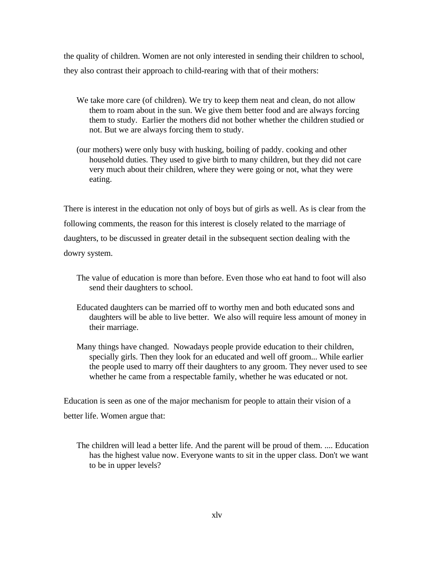the quality of children. Women are not only interested in sending their children to school, they also contrast their approach to child-rearing with that of their mothers:

- We take more care (of children). We try to keep them neat and clean, do not allow them to roam about in the sun. We give them better food and are always forcing them to study. Earlier the mothers did not bother whether the children studied or not. But we are always forcing them to study.
- (our mothers) were only busy with husking, boiling of paddy. cooking and other household duties. They used to give birth to many children, but they did not care very much about their children, where they were going or not, what they were eating.

There is interest in the education not only of boys but of girls as well. As is clear from the following comments, the reason for this interest is closely related to the marriage of daughters, to be discussed in greater detail in the subsequent section dealing with the dowry system.

- The value of education is more than before. Even those who eat hand to foot will also send their daughters to school.
- Educated daughters can be married off to worthy men and both educated sons and daughters will be able to live better. We also will require less amount of money in their marriage.
- Many things have changed. Nowadays people provide education to their children, specially girls. Then they look for an educated and well off groom... While earlier the people used to marry off their daughters to any groom. They never used to see whether he came from a respectable family, whether he was educated or not.

Education is seen as one of the major mechanism for people to attain their vision of a better life. Women argue that:

The children will lead a better life. And the parent will be proud of them. .... Education has the highest value now. Everyone wants to sit in the upper class. Don't we want to be in upper levels?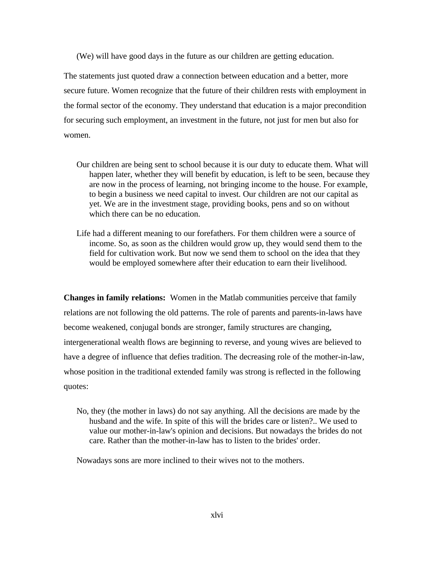(We) will have good days in the future as our children are getting education.

The statements just quoted draw a connection between education and a better, more secure future. Women recognize that the future of their children rests with employment in the formal sector of the economy. They understand that education is a major precondition for securing such employment, an investment in the future, not just for men but also for women.

- Our children are being sent to school because it is our duty to educate them. What will happen later, whether they will benefit by education, is left to be seen, because they are now in the process of learning, not bringing income to the house. For example, to begin a business we need capital to invest. Our children are not our capital as yet. We are in the investment stage, providing books, pens and so on without which there can be no education.
- Life had a different meaning to our forefathers. For them children were a source of income. So, as soon as the children would grow up, they would send them to the field for cultivation work. But now we send them to school on the idea that they would be employed somewhere after their education to earn their livelihood.

**Changes in family relations:** Women in the Matlab communities perceive that family relations are not following the old patterns. The role of parents and parents-in-laws have become weakened, conjugal bonds are stronger, family structures are changing, intergenerational wealth flows are beginning to reverse, and young wives are believed to have a degree of influence that defies tradition. The decreasing role of the mother-in-law, whose position in the traditional extended family was strong is reflected in the following quotes:

No, they (the mother in laws) do not say anything. All the decisions are made by the husband and the wife. In spite of this will the brides care or listen?.. We used to value our mother-in-law's opinion and decisions. But nowadays the brides do not care. Rather than the mother-in-law has to listen to the brides' order.

Nowadays sons are more inclined to their wives not to the mothers.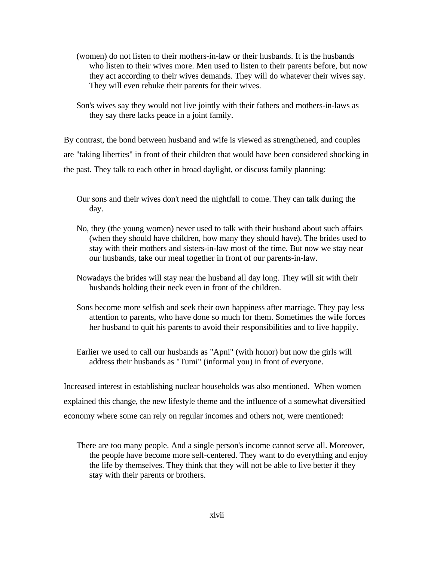- (women) do not listen to their mothers-in-law or their husbands. It is the husbands who listen to their wives more. Men used to listen to their parents before, but now they act according to their wives demands. They will do whatever their wives say. They will even rebuke their parents for their wives.
- Son's wives say they would not live jointly with their fathers and mothers-in-laws as they say there lacks peace in a joint family.

By contrast, the bond between husband and wife is viewed as strengthened, and couples are "taking liberties" in front of their children that would have been considered shocking in the past. They talk to each other in broad daylight, or discuss family planning:

- Our sons and their wives don't need the nightfall to come. They can talk during the day.
- No, they (the young women) never used to talk with their husband about such affairs (when they should have children, how many they should have). The brides used to stay with their mothers and sisters-in-law most of the time. But now we stay near our husbands, take our meal together in front of our parents-in-law.
- Nowadays the brides will stay near the husband all day long. They will sit with their husbands holding their neck even in front of the children.
- Sons become more selfish and seek their own happiness after marriage. They pay less attention to parents, who have done so much for them. Sometimes the wife forces her husband to quit his parents to avoid their responsibilities and to live happily.
- Earlier we used to call our husbands as "Apni" (with honor) but now the girls will address their husbands as "Tumi" (informal you) in front of everyone.

Increased interest in establishing nuclear households was also mentioned. When women explained this change, the new lifestyle theme and the influence of a somewhat diversified economy where some can rely on regular incomes and others not, were mentioned:

There are too many people. And a single person's income cannot serve all. Moreover, the people have become more self-centered. They want to do everything and enjoy the life by themselves. They think that they will not be able to live better if they stay with their parents or brothers.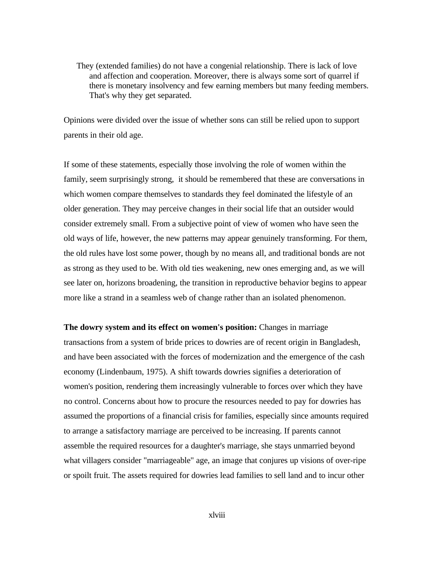They (extended families) do not have a congenial relationship. There is lack of love and affection and cooperation. Moreover, there is always some sort of quarrel if there is monetary insolvency and few earning members but many feeding members. That's why they get separated.

Opinions were divided over the issue of whether sons can still be relied upon to support parents in their old age.

If some of these statements, especially those involving the role of women within the family, seem surprisingly strong, it should be remembered that these are conversations in which women compare themselves to standards they feel dominated the lifestyle of an older generation. They may perceive changes in their social life that an outsider would consider extremely small. From a subjective point of view of women who have seen the old ways of life, however, the new patterns may appear genuinely transforming. For them, the old rules have lost some power, though by no means all, and traditional bonds are not as strong as they used to be. With old ties weakening, new ones emerging and, as we will see later on, horizons broadening, the transition in reproductive behavior begins to appear more like a strand in a seamless web of change rather than an isolated phenomenon.

**The dowry system and its effect on women's position:** Changes in marriage transactions from a system of bride prices to dowries are of recent origin in Bangladesh, and have been associated with the forces of modernization and the emergence of the cash economy (Lindenbaum, 1975). A shift towards dowries signifies a deterioration of women's position, rendering them increasingly vulnerable to forces over which they have no control. Concerns about how to procure the resources needed to pay for dowries has assumed the proportions of a financial crisis for families, especially since amounts required to arrange a satisfactory marriage are perceived to be increasing. If parents cannot assemble the required resources for a daughter's marriage, she stays unmarried beyond what villagers consider "marriageable" age, an image that conjures up visions of over-ripe or spoilt fruit. The assets required for dowries lead families to sell land and to incur other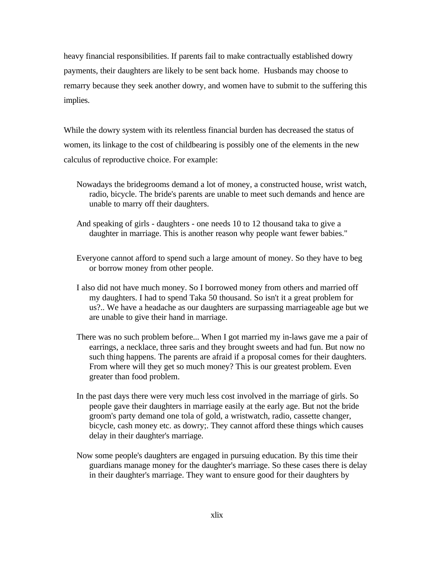heavy financial responsibilities. If parents fail to make contractually established dowry payments, their daughters are likely to be sent back home. Husbands may choose to remarry because they seek another dowry, and women have to submit to the suffering this implies.

While the dowry system with its relentless financial burden has decreased the status of women, its linkage to the cost of childbearing is possibly one of the elements in the new calculus of reproductive choice. For example:

- Nowadays the bridegrooms demand a lot of money, a constructed house, wrist watch, radio, bicycle. The bride's parents are unable to meet such demands and hence are unable to marry off their daughters.
- And speaking of girls daughters one needs 10 to 12 thousand taka to give a daughter in marriage. This is another reason why people want fewer babies."
- Everyone cannot afford to spend such a large amount of money. So they have to beg or borrow money from other people.
- I also did not have much money. So I borrowed money from others and married off my daughters. I had to spend Taka 50 thousand. So isn't it a great problem for us?.. We have a headache as our daughters are surpassing marriageable age but we are unable to give their hand in marriage.
- There was no such problem before... When I got married my in-laws gave me a pair of earrings, a necklace, three saris and they brought sweets and had fun. But now no such thing happens. The parents are afraid if a proposal comes for their daughters. From where will they get so much money? This is our greatest problem. Even greater than food problem.
- In the past days there were very much less cost involved in the marriage of girls. So people gave their daughters in marriage easily at the early age. But not the bride groom's party demand one tola of gold, a wristwatch, radio, cassette changer, bicycle, cash money etc. as dowry;. They cannot afford these things which causes delay in their daughter's marriage.
- Now some people's daughters are engaged in pursuing education. By this time their guardians manage money for the daughter's marriage. So these cases there is delay in their daughter's marriage. They want to ensure good for their daughters by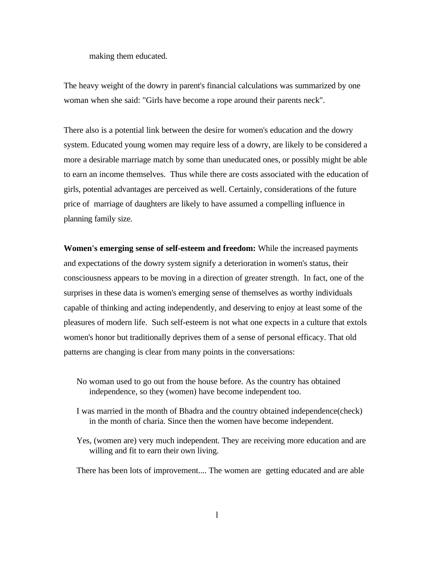making them educated.

The heavy weight of the dowry in parent's financial calculations was summarized by one woman when she said: "Girls have become a rope around their parents neck".

There also is a potential link between the desire for women's education and the dowry system. Educated young women may require less of a dowry, are likely to be considered a more a desirable marriage match by some than uneducated ones, or possibly might be able to earn an income themselves. Thus while there are costs associated with the education of girls, potential advantages are perceived as well. Certainly, considerations of the future price of marriage of daughters are likely to have assumed a compelling influence in planning family size.

**Women's emerging sense of self-esteem and freedom:** While the increased payments and expectations of the dowry system signify a deterioration in women's status, their consciousness appears to be moving in a direction of greater strength. In fact, one of the surprises in these data is women's emerging sense of themselves as worthy individuals capable of thinking and acting independently, and deserving to enjoy at least some of the pleasures of modern life. Such self-esteem is not what one expects in a culture that extols women's honor but traditionally deprives them of a sense of personal efficacy. That old patterns are changing is clear from many points in the conversations:

- No woman used to go out from the house before. As the country has obtained independence, so they (women) have become independent too.
- I was married in the month of Bhadra and the country obtained independence(check) in the month of charia. Since then the women have become independent.
- Yes, (women are) very much independent. They are receiving more education and are willing and fit to earn their own living.

There has been lots of improvement.... The women are getting educated and are able

l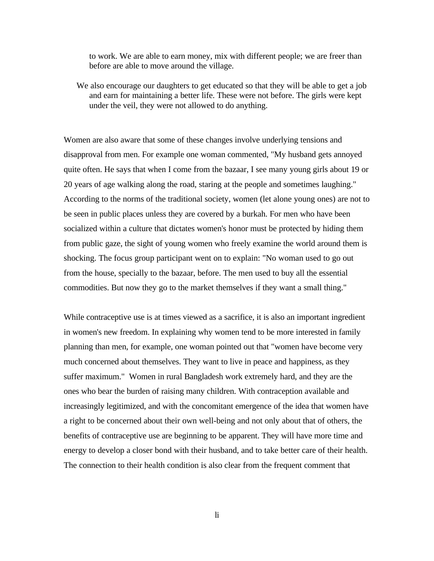to work. We are able to earn money, mix with different people; we are freer than before are able to move around the village.

We also encourage our daughters to get educated so that they will be able to get a job and earn for maintaining a better life. These were not before. The girls were kept under the veil, they were not allowed to do anything.

Women are also aware that some of these changes involve underlying tensions and disapproval from men. For example one woman commented, "My husband gets annoyed quite often. He says that when I come from the bazaar, I see many young girls about 19 or 20 years of age walking along the road, staring at the people and sometimes laughing." According to the norms of the traditional society, women (let alone young ones) are not to be seen in public places unless they are covered by a burkah. For men who have been socialized within a culture that dictates women's honor must be protected by hiding them from public gaze, the sight of young women who freely examine the world around them is shocking. The focus group participant went on to explain: "No woman used to go out from the house, specially to the bazaar, before. The men used to buy all the essential commodities. But now they go to the market themselves if they want a small thing."

While contraceptive use is at times viewed as a sacrifice, it is also an important ingredient in women's new freedom. In explaining why women tend to be more interested in family planning than men, for example, one woman pointed out that "women have become very much concerned about themselves. They want to live in peace and happiness, as they suffer maximum." Women in rural Bangladesh work extremely hard, and they are the ones who bear the burden of raising many children. With contraception available and increasingly legitimized, and with the concomitant emergence of the idea that women have a right to be concerned about their own well-being and not only about that of others, the benefits of contraceptive use are beginning to be apparent. They will have more time and energy to develop a closer bond with their husband, and to take better care of their health. The connection to their health condition is also clear from the frequent comment that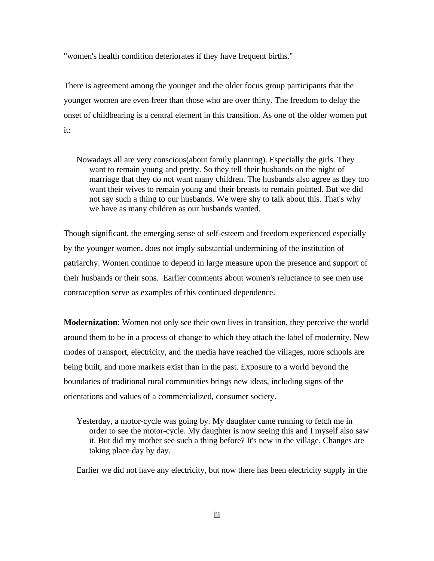"women's health condition deteriorates if they have frequent births."

There is agreement among the younger and the older focus group participants that the younger women are even freer than those who are over thirty. The freedom to delay the onset of childbearing is a central element in this transition. As one of the older women put it:

Nowadays all are very conscious(about family planning). Especially the girls. They want to remain young and pretty. So they tell their husbands on the night of marriage that they do not want many children. The husbands also agree as they too want their wives to remain young and their breasts to remain pointed. But we did not say such a thing to our husbands. We were shy to talk about this. That's why we have as many children as our husbands wanted.

Though significant, the emerging sense of self-esteem and freedom experienced especially by the younger women, does not imply substantial undermining of the institution of patriarchy. Women continue to depend in large measure upon the presence and support of their husbands or their sons. Earlier comments about women's reluctance to see men use contraception serve as examples of this continued dependence.

**Modernization**: Women not only see their own lives in transition, they perceive the world around them to be in a process of change to which they attach the label of modernity. New modes of transport, electricity, and the media have reached the villages, more schools are being built, and more markets exist than in the past. Exposure to a world beyond the boundaries of traditional rural communities brings new ideas, including signs of the orientations and values of a commercialized, consumer society.

Yesterday, a motor-cycle was going by. My daughter came running to fetch me in order to see the motor-cycle. My daughter is now seeing this and I myself also saw it. But did my mother see such a thing before? It's new in the village. Changes are taking place day by day.

Earlier we did not have any electricity, but now there has been electricity supply in the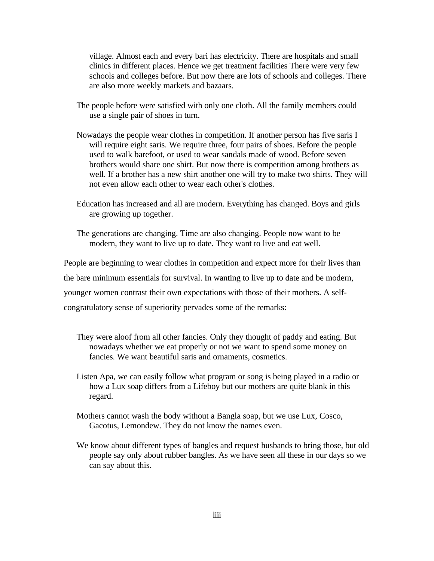village. Almost each and every bari has electricity. There are hospitals and small clinics in different places. Hence we get treatment facilities There were very few schools and colleges before. But now there are lots of schools and colleges. There are also more weekly markets and bazaars.

- The people before were satisfied with only one cloth. All the family members could use a single pair of shoes in turn.
- Nowadays the people wear clothes in competition. If another person has five saris I will require eight saris. We require three, four pairs of shoes. Before the people used to walk barefoot, or used to wear sandals made of wood. Before seven brothers would share one shirt. But now there is competition among brothers as well. If a brother has a new shirt another one will try to make two shirts. They will not even allow each other to wear each other's clothes.
- Education has increased and all are modern. Everything has changed. Boys and girls are growing up together.
- The generations are changing. Time are also changing. People now want to be modern, they want to live up to date. They want to live and eat well.

People are beginning to wear clothes in competition and expect more for their lives than the bare minimum essentials for survival. In wanting to live up to date and be modern, younger women contrast their own expectations with those of their mothers. A selfcongratulatory sense of superiority pervades some of the remarks:

- They were aloof from all other fancies. Only they thought of paddy and eating. But nowadays whether we eat properly or not we want to spend some money on fancies. We want beautiful saris and ornaments, cosmetics.
- Listen Apa, we can easily follow what program or song is being played in a radio or how a Lux soap differs from a Lifeboy but our mothers are quite blank in this regard.
- Mothers cannot wash the body without a Bangla soap, but we use Lux, Cosco, Gacotus, Lemondew. They do not know the names even.
- We know about different types of bangles and request husbands to bring those, but old people say only about rubber bangles. As we have seen all these in our days so we can say about this.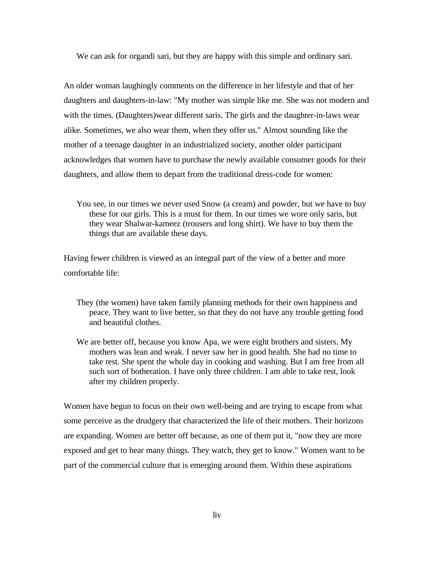We can ask for organdi sari, but they are happy with this simple and ordinary sari.

An older woman laughingly comments on the difference in her lifestyle and that of her daughters and daughters-in-law: "My mother was simple like me. She was not modern and with the times. (Daughters) wear different saris. The girls and the daughter-in-laws wear alike. Sometimes, we also wear them, when they offer us." Almost sounding like the mother of a teenage daughter in an industrialized society, another older participant acknowledges that women have to purchase the newly available consumer goods for their daughters, and allow them to depart from the traditional dress-code for women:

You see, in our times we never used Snow (a cream) and powder, but we have to buy these for our girls. This is a must for them. In our times we wore only saris, but they wear Shalwar-kameez (trousers and long shirt). We have to buy them the things that are available these days.

Having fewer children is viewed as an integral part of the view of a better and more comfortable life:

- They (the women) have taken family planning methods for their own happiness and peace. They want to live better, so that they do not have any trouble getting food and beautiful clothes.
- We are better off, because you know Apa, we were eight brothers and sisters. My mothers was lean and weak. I never saw her in good health. She had no time to take rest. She spent the whole day in cooking and washing. But I am free from all such sort of botheration. I have only three children. I am able to take rest, look after my children properly.

Women have begun to focus on their own well-being and are trying to escape from what some perceive as the drudgery that characterized the life of their mothers. Their horizons are expanding. Women are better off because, as one of them put it, "now they are more exposed and get to hear many things. They watch, they get to know." Women want to be part of the commercial culture that is emerging around them. Within these aspirations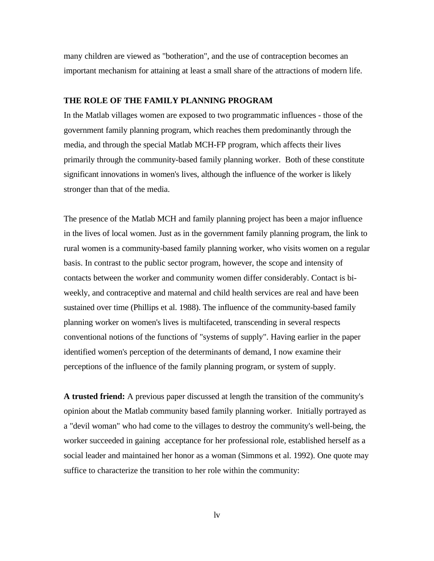many children are viewed as "botheration", and the use of contraception becomes an important mechanism for attaining at least a small share of the attractions of modern life.

### **THE ROLE OF THE FAMILY PLANNING PROGRAM**

In the Matlab villages women are exposed to two programmatic influences - those of the government family planning program, which reaches them predominantly through the media, and through the special Matlab MCH-FP program, which affects their lives primarily through the community-based family planning worker. Both of these constitute significant innovations in women's lives, although the influence of the worker is likely stronger than that of the media.

The presence of the Matlab MCH and family planning project has been a major influence in the lives of local women. Just as in the government family planning program, the link to rural women is a community-based family planning worker, who visits women on a regular basis. In contrast to the public sector program, however, the scope and intensity of contacts between the worker and community women differ considerably. Contact is biweekly, and contraceptive and maternal and child health services are real and have been sustained over time (Phillips et al. 1988). The influence of the community-based family planning worker on women's lives is multifaceted, transcending in several respects conventional notions of the functions of "systems of supply". Having earlier in the paper identified women's perception of the determinants of demand, I now examine their perceptions of the influence of the family planning program, or system of supply.

**A trusted friend:** A previous paper discussed at length the transition of the community's opinion about the Matlab community based family planning worker. Initially portrayed as a "devil woman" who had come to the villages to destroy the community's well-being, the worker succeeded in gaining acceptance for her professional role, established herself as a social leader and maintained her honor as a woman (Simmons et al. 1992). One quote may suffice to characterize the transition to her role within the community: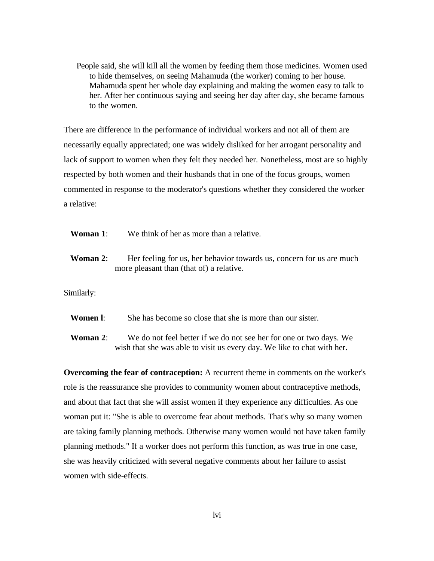People said, she will kill all the women by feeding them those medicines. Women used to hide themselves, on seeing Mahamuda (the worker) coming to her house. Mahamuda spent her whole day explaining and making the women easy to talk to her. After her continuous saying and seeing her day after day, she became famous to the women.

There are difference in the performance of individual workers and not all of them are necessarily equally appreciated; one was widely disliked for her arrogant personality and lack of support to women when they felt they needed her. Nonetheless, most are so highly respected by both women and their husbands that in one of the focus groups, women commented in response to the moderator's questions whether they considered the worker a relative:

**Woman 1:** We think of her as more than a relative.

**Woman 2:** Her feeling for us, her behavior towards us, concern for us are much more pleasant than (that of) a relative.

Similarly:

**Women l**: She has become so close that she is more than our sister.

 **Woman 2**: We do not feel better if we do not see her for one or two days. We wish that she was able to visit us every day. We like to chat with her.

**Overcoming the fear of contraception:** A recurrent theme in comments on the worker's role is the reassurance she provides to community women about contraceptive methods, and about that fact that she will assist women if they experience any difficulties. As one woman put it: "She is able to overcome fear about methods. That's why so many women are taking family planning methods. Otherwise many women would not have taken family planning methods." If a worker does not perform this function, as was true in one case, she was heavily criticized with several negative comments about her failure to assist women with side-effects.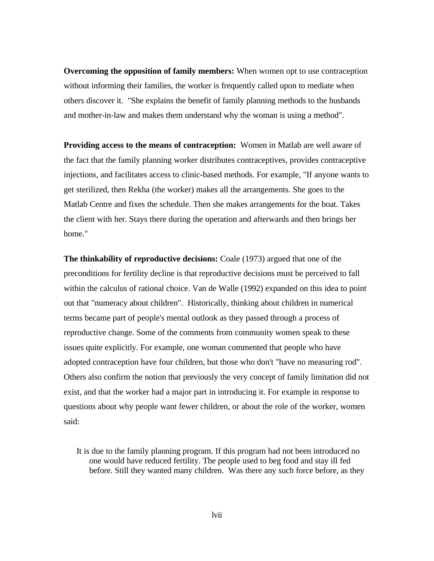**Overcoming the opposition of family members:** When women opt to use contraception without informing their families, the worker is frequently called upon to mediate when others discover it. "She explains the benefit of family planning methods to the husbands and mother-in-law and makes them understand why the woman is using a method".

**Providing access to the means of contraception:** Women in Matlab are well aware of the fact that the family planning worker distributes contraceptives, provides contraceptive injections, and facilitates access to clinic-based methods. For example, "If anyone wants to get sterilized, then Rekha (the worker) makes all the arrangements. She goes to the Matlab Centre and fixes the schedule. Then she makes arrangements for the boat. Takes the client with her. Stays there during the operation and afterwards and then brings her home."

**The thinkability of reproductive decisions:** Coale (1973) argued that one of the preconditions for fertility decline is that reproductive decisions must be perceived to fall within the calculus of rational choice. Van de Walle (1992) expanded on this idea to point out that "numeracy about children". Historically, thinking about children in numerical terms became part of people's mental outlook as they passed through a process of reproductive change. Some of the comments from community women speak to these issues quite explicitly. For example, one woman commented that people who have adopted contraception have four children, but those who don't "have no measuring rod". Others also confirm the notion that previously the very concept of family limitation did not exist, and that the worker had a major part in introducing it. For example in response to questions about why people want fewer children, or about the role of the worker, women said:

It is due to the family planning program. If this program had not been introduced no one would have reduced fertility. The people used to beg food and stay ill fed before. Still they wanted many children. Was there any such force before, as they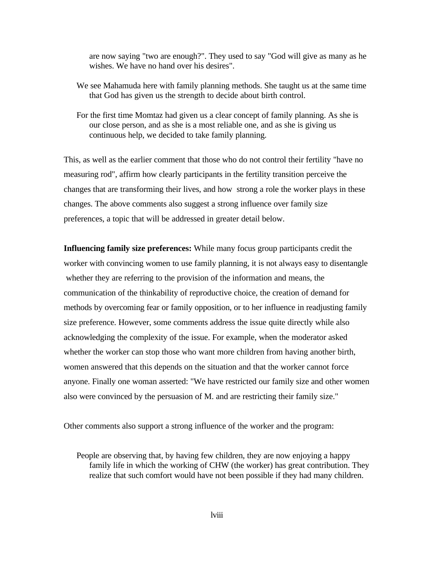are now saying "two are enough?". They used to say "God will give as many as he wishes. We have no hand over his desires".

- We see Mahamuda here with family planning methods. She taught us at the same time that God has given us the strength to decide about birth control.
- For the first time Momtaz had given us a clear concept of family planning. As she is our close person, and as she is a most reliable one, and as she is giving us continuous help, we decided to take family planning.

This, as well as the earlier comment that those who do not control their fertility "have no measuring rod", affirm how clearly participants in the fertility transition perceive the changes that are transforming their lives, and how strong a role the worker plays in these changes. The above comments also suggest a strong influence over family size preferences, a topic that will be addressed in greater detail below.

**Influencing family size preferences:** While many focus group participants credit the worker with convincing women to use family planning, it is not always easy to disentangle whether they are referring to the provision of the information and means, the communication of the thinkability of reproductive choice, the creation of demand for methods by overcoming fear or family opposition, or to her influence in readjusting family size preference. However, some comments address the issue quite directly while also acknowledging the complexity of the issue. For example, when the moderator asked whether the worker can stop those who want more children from having another birth, women answered that this depends on the situation and that the worker cannot force anyone. Finally one woman asserted: "We have restricted our family size and other women also were convinced by the persuasion of M. and are restricting their family size."

Other comments also support a strong influence of the worker and the program:

People are observing that, by having few children, they are now enjoying a happy family life in which the working of CHW (the worker) has great contribution. They realize that such comfort would have not been possible if they had many children.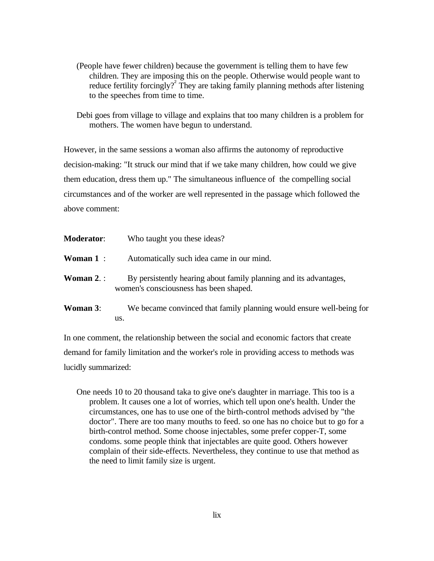- (People have fewer children) because the government is telling them to have few children. They are imposing this on the people. Otherwise would people want to reduce fertility forcingly?<sup>2</sup> They are taking family planning methods after listening to the speeches from time to time.
- Debi goes from village to village and explains that too many children is a problem for mothers. The women have begun to understand.

However, in the same sessions a woman also affirms the autonomy of reproductive decision-making: "It struck our mind that if we take many children, how could we give them education, dress them up." The simultaneous influence of the compelling social circumstances and of the worker are well represented in the passage which followed the above comment:

| <b>Moderator:</b> | Who taught you these ideas?                                                                                 |
|-------------------|-------------------------------------------------------------------------------------------------------------|
| Woman $1:$        | Automatically such idea came in our mind.                                                                   |
| <b>Woman 2.</b> : | By persistently hearing about family planning and its advantages,<br>women's consciousness has been shaped. |
| <b>Woman 3:</b>   | We became convinced that family planning would ensure well-being for                                        |
|                   | us.                                                                                                         |

In one comment, the relationship between the social and economic factors that create demand for family limitation and the worker's role in providing access to methods was lucidly summarized:

One needs 10 to 20 thousand taka to give one's daughter in marriage. This too is a problem. It causes one a lot of worries, which tell upon one's health. Under the circumstances, one has to use one of the birth-control methods advised by "the doctor". There are too many mouths to feed. so one has no choice but to go for a birth-control method. Some choose injectables, some prefer copper-T, some condoms. some people think that injectables are quite good. Others however complain of their side-effects. Nevertheless, they continue to use that method as the need to limit family size is urgent.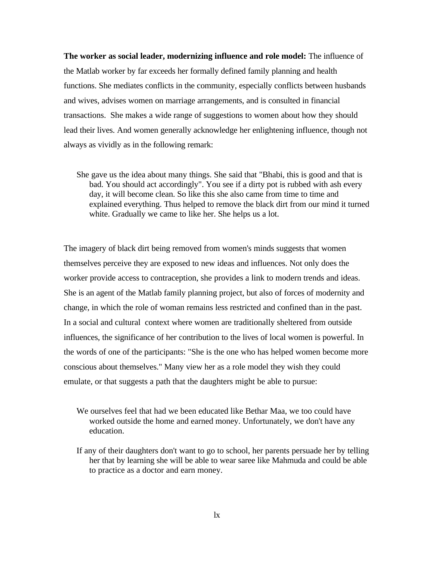**The worker as social leader, modernizing influence and role model:** The influence of the Matlab worker by far exceeds her formally defined family planning and health functions. She mediates conflicts in the community, especially conflicts between husbands and wives, advises women on marriage arrangements, and is consulted in financial transactions. She makes a wide range of suggestions to women about how they should lead their lives. And women generally acknowledge her enlightening influence, though not always as vividly as in the following remark:

She gave us the idea about many things. She said that "Bhabi, this is good and that is bad. You should act accordingly". You see if a dirty pot is rubbed with ash every day, it will become clean. So like this she also came from time to time and explained everything. Thus helped to remove the black dirt from our mind it turned white. Gradually we came to like her. She helps us a lot.

The imagery of black dirt being removed from women's minds suggests that women themselves perceive they are exposed to new ideas and influences. Not only does the worker provide access to contraception, she provides a link to modern trends and ideas. She is an agent of the Matlab family planning project, but also of forces of modernity and change, in which the role of woman remains less restricted and confined than in the past. In a social and cultural context where women are traditionally sheltered from outside influences, the significance of her contribution to the lives of local women is powerful. In the words of one of the participants: "She is the one who has helped women become more conscious about themselves." Many view her as a role model they wish they could emulate, or that suggests a path that the daughters might be able to pursue:

- We ourselves feel that had we been educated like Bethar Maa, we too could have worked outside the home and earned money. Unfortunately, we don't have any education.
- If any of their daughters don't want to go to school, her parents persuade her by telling her that by learning she will be able to wear saree like Mahmuda and could be able to practice as a doctor and earn money.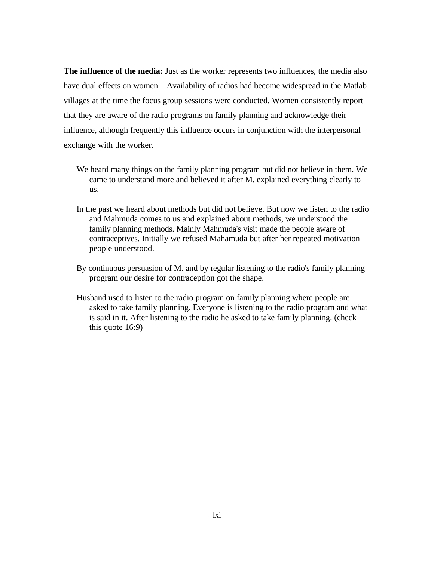**The influence of the media:** Just as the worker represents two influences, the media also have dual effects on women.Availability of radios had become widespread in the Matlab villages at the time the focus group sessions were conducted. Women consistently report that they are aware of the radio programs on family planning and acknowledge their influence, although frequently this influence occurs in conjunction with the interpersonal exchange with the worker.

- We heard many things on the family planning program but did not believe in them. We came to understand more and believed it after M. explained everything clearly to us.
- In the past we heard about methods but did not believe. But now we listen to the radio and Mahmuda comes to us and explained about methods, we understood the family planning methods. Mainly Mahmuda's visit made the people aware of contraceptives. Initially we refused Mahamuda but after her repeated motivation people understood.
- By continuous persuasion of M. and by regular listening to the radio's family planning program our desire for contraception got the shape.
- Husband used to listen to the radio program on family planning where people are asked to take family planning. Everyone is listening to the radio program and what is said in it. After listening to the radio he asked to take family planning. (check this quote 16:9)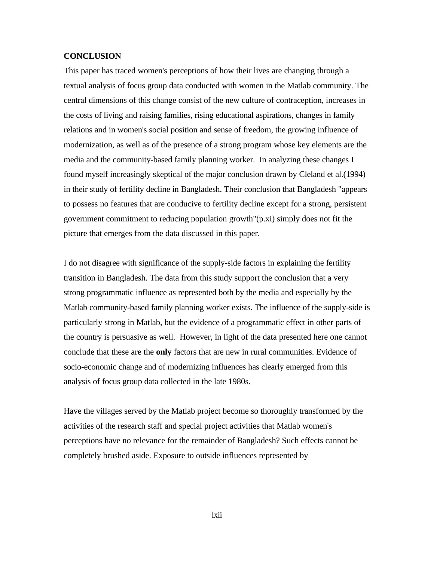# **CONCLUSION**

This paper has traced women's perceptions of how their lives are changing through a textual analysis of focus group data conducted with women in the Matlab community. The central dimensions of this change consist of the new culture of contraception, increases in the costs of living and raising families, rising educational aspirations, changes in family relations and in women's social position and sense of freedom, the growing influence of modernization, as well as of the presence of a strong program whose key elements are the media and the community-based family planning worker. In analyzing these changes I found myself increasingly skeptical of the major conclusion drawn by Cleland et al.(1994) in their study of fertility decline in Bangladesh. Their conclusion that Bangladesh "appears to possess no features that are conducive to fertility decline except for a strong, persistent government commitment to reducing population growth"(p.xi) simply does not fit the picture that emerges from the data discussed in this paper.

I do not disagree with significance of the supply-side factors in explaining the fertility transition in Bangladesh. The data from this study support the conclusion that a very strong programmatic influence as represented both by the media and especially by the Matlab community-based family planning worker exists. The influence of the supply-side is particularly strong in Matlab, but the evidence of a programmatic effect in other parts of the country is persuasive as well. However, in light of the data presented here one cannot conclude that these are the **only** factors that are new in rural communities. Evidence of socio-economic change and of modernizing influences has clearly emerged from this analysis of focus group data collected in the late 1980s.

Have the villages served by the Matlab project become so thoroughly transformed by the activities of the research staff and special project activities that Matlab women's perceptions have no relevance for the remainder of Bangladesh? Such effects cannot be completely brushed aside. Exposure to outside influences represented by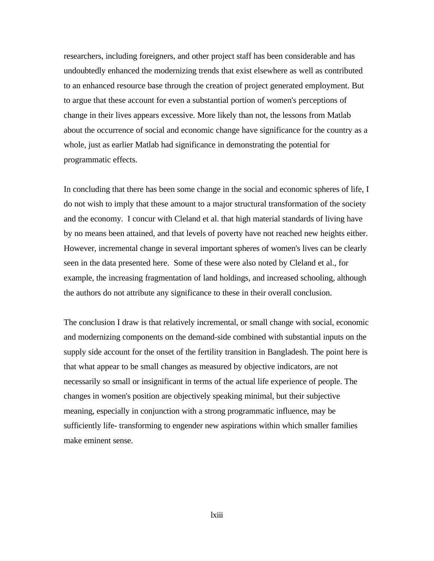researchers, including foreigners, and other project staff has been considerable and has undoubtedly enhanced the modernizing trends that exist elsewhere as well as contributed to an enhanced resource base through the creation of project generated employment. But to argue that these account for even a substantial portion of women's perceptions of change in their lives appears excessive. More likely than not, the lessons from Matlab about the occurrence of social and economic change have significance for the country as a whole, just as earlier Matlab had significance in demonstrating the potential for programmatic effects.

In concluding that there has been some change in the social and economic spheres of life, I do not wish to imply that these amount to a major structural transformation of the society and the economy. I concur with Cleland et al. that high material standards of living have by no means been attained, and that levels of poverty have not reached new heights either. However, incremental change in several important spheres of women's lives can be clearly seen in the data presented here. Some of these were also noted by Cleland et al., for example, the increasing fragmentation of land holdings, and increased schooling, although the authors do not attribute any significance to these in their overall conclusion.

The conclusion I draw is that relatively incremental, or small change with social, economic and modernizing components on the demand-side combined with substantial inputs on the supply side account for the onset of the fertility transition in Bangladesh. The point here is that what appear to be small changes as measured by objective indicators, are not necessarily so small or insignificant in terms of the actual life experience of people. The changes in women's position are objectively speaking minimal, but their subjective meaning, especially in conjunction with a strong programmatic influence, may be sufficiently life- transforming to engender new aspirations within which smaller families make eminent sense.

lxiii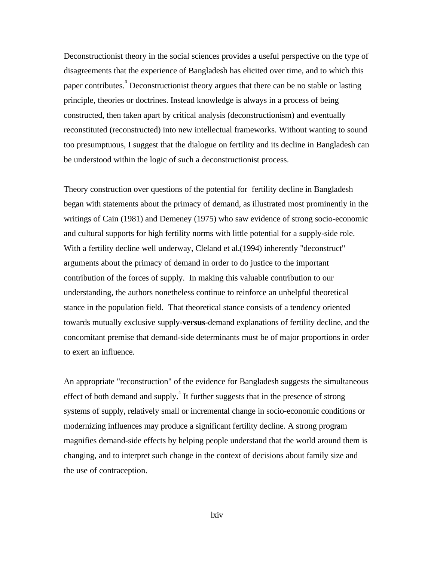Deconstructionist theory in the social sciences provides a useful perspective on the type of disagreements that the experience of Bangladesh has elicited over time, and to which this paper contributes.<sup>3</sup> Deconstructionist theory argues that there can be no stable or lasting principle, theories or doctrines. Instead knowledge is always in a process of being constructed, then taken apart by critical analysis (deconstructionism) and eventually reconstituted (reconstructed) into new intellectual frameworks. Without wanting to sound too presumptuous, I suggest that the dialogue on fertility and its decline in Bangladesh can be understood within the logic of such a deconstructionist process.

Theory construction over questions of the potential for fertility decline in Bangladesh began with statements about the primacy of demand, as illustrated most prominently in the writings of Cain (1981) and Demeney (1975) who saw evidence of strong socio-economic and cultural supports for high fertility norms with little potential for a supply-side role. With a fertility decline well underway, Cleland et al.(1994) inherently "deconstruct" arguments about the primacy of demand in order to do justice to the important contribution of the forces of supply. In making this valuable contribution to our understanding, the authors nonetheless continue to reinforce an unhelpful theoretical stance in the population field. That theoretical stance consists of a tendency oriented towards mutually exclusive supply-**versus**-demand explanations of fertility decline, and the concomitant premise that demand-side determinants must be of major proportions in order to exert an influence.

An appropriate "reconstruction" of the evidence for Bangladesh suggests the simultaneous effect of both demand and supply. $^4$  It further suggests that in the presence of strong systems of supply, relatively small or incremental change in socio-economic conditions or modernizing influences may produce a significant fertility decline. A strong program magnifies demand-side effects by helping people understand that the world around them is changing, and to interpret such change in the context of decisions about family size and the use of contraception.

lxiv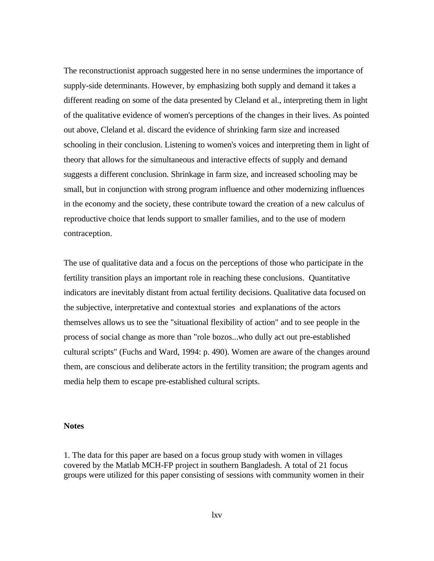The reconstructionist approach suggested here in no sense undermines the importance of supply-side determinants. However, by emphasizing both supply and demand it takes a different reading on some of the data presented by Cleland et al., interpreting them in light of the qualitative evidence of women's perceptions of the changes in their lives. As pointed out above, Cleland et al. discard the evidence of shrinking farm size and increased schooling in their conclusion. Listening to women's voices and interpreting them in light of theory that allows for the simultaneous and interactive effects of supply and demand suggests a different conclusion. Shrinkage in farm size, and increased schooling may be small, but in conjunction with strong program influence and other modernizing influences in the economy and the society, these contribute toward the creation of a new calculus of reproductive choice that lends support to smaller families, and to the use of modern contraception.

The use of qualitative data and a focus on the perceptions of those who participate in the fertility transition plays an important role in reaching these conclusions. Quantitative indicators are inevitably distant from actual fertility decisions. Qualitative data focused on the subjective, interpretative and contextual stories and explanations of the actors themselves allows us to see the "situational flexibility of action" and to see people in the process of social change as more than "role bozos...who dully act out pre-established cultural scripts" (Fuchs and Ward, 1994: p. 490). Women are aware of the changes around them, are conscious and deliberate actors in the fertility transition; the program agents and media help them to escape pre-established cultural scripts.

## **Notes**

1. The data for this paper are based on a focus group study with women in villages covered by the Matlab MCH-FP project in southern Bangladesh. A total of 21 focus groups were utilized for this paper consisting of sessions with community women in their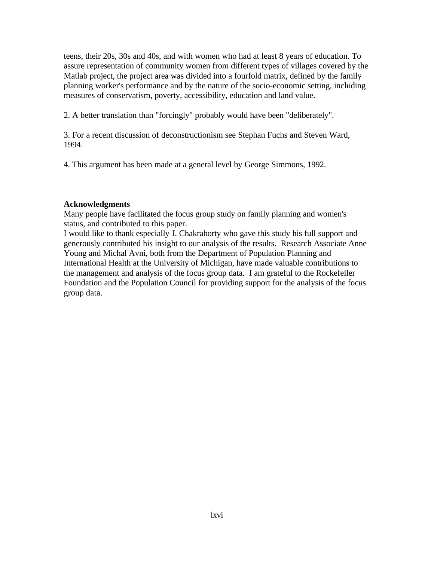teens, their 20s, 30s and 40s, and with women who had at least 8 years of education. To assure representation of community women from different types of villages covered by the Matlab project, the project area was divided into a fourfold matrix, defined by the family planning worker's performance and by the nature of the socio-economic setting, including measures of conservatism, poverty, accessibility, education and land value.

2. A better translation than "forcingly" probably would have been "deliberately".

3. For a recent discussion of deconstructionism see Stephan Fuchs and Steven Ward, 1994.

4. This argument has been made at a general level by George Simmons, 1992.

## **Acknowledgments**

Many people have facilitated the focus group study on family planning and women's status, and contributed to this paper.

I would like to thank especially J. Chakraborty who gave this study his full support and generously contributed his insight to our analysis of the results. Research Associate Anne Young and Michal Avni, both from the Department of Population Planning and International Health at the University of Michigan, have made valuable contributions to the management and analysis of the focus group data. I am grateful to the Rockefeller Foundation and the Population Council for providing support for the analysis of the focus group data.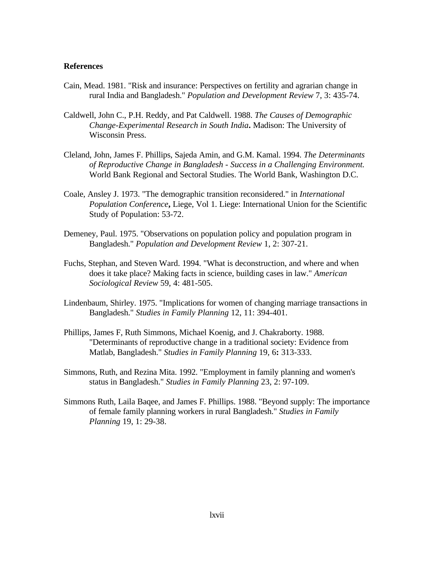## **References**

- Cain, Mead. 1981. "Risk and insurance: Perspectives on fertility and agrarian change in rural India and Bangladesh." *Population and Development Review* 7, 3: 435-74.
- Caldwell, John C., P.H. Reddy, and Pat Caldwell. 1988. *The Causes of Demographic Change-Experimental Research in South India***.** Madison: The University of Wisconsin Press.
- Cleland, John, James F. Phillips, Sajeda Amin, and G.M. Kamal. 1994. *The Determinants of Reproductive Change in Bangladesh - Success in a Challenging Environment.* World Bank Regional and Sectoral Studies. The World Bank, Washington D.C.
- Coale, Ansley J. 1973. "The demographic transition reconsidered." in *International Population Conference***,** Liege, Vol 1. Liege: International Union for the Scientific Study of Population: 53-72.
- Demeney, Paul. 1975. "Observations on population policy and population program in Bangladesh." *Population and Development Review* 1, 2: 307-21.
- Fuchs, Stephan, and Steven Ward. 1994. "What is deconstruction, and where and when does it take place? Making facts in science, building cases in law." *American Sociological Review* 59, 4: 481-505.
- Lindenbaum, Shirley. 1975. "Implications for women of changing marriage transactions in Bangladesh." *Studies in Family Planning* 12, 11: 394-401.
- Phillips, James F, Ruth Simmons, Michael Koenig, and J. Chakraborty. 1988. "Determinants of reproductive change in a traditional society: Evidence from Matlab, Bangladesh." *Studies in Family Planning* 19, 6**:** 313-333.
- Simmons, Ruth, and Rezina Mita. 1992. "Employment in family planning and women's status in Bangladesh." *Studies in Family Planning* 23, 2: 97-109.
- Simmons Ruth, Laila Baqee, and James F. Phillips. 1988. "Beyond supply: The importance of female family planning workers in rural Bangladesh." *Studies in Family Planning* 19, 1: 29-38.